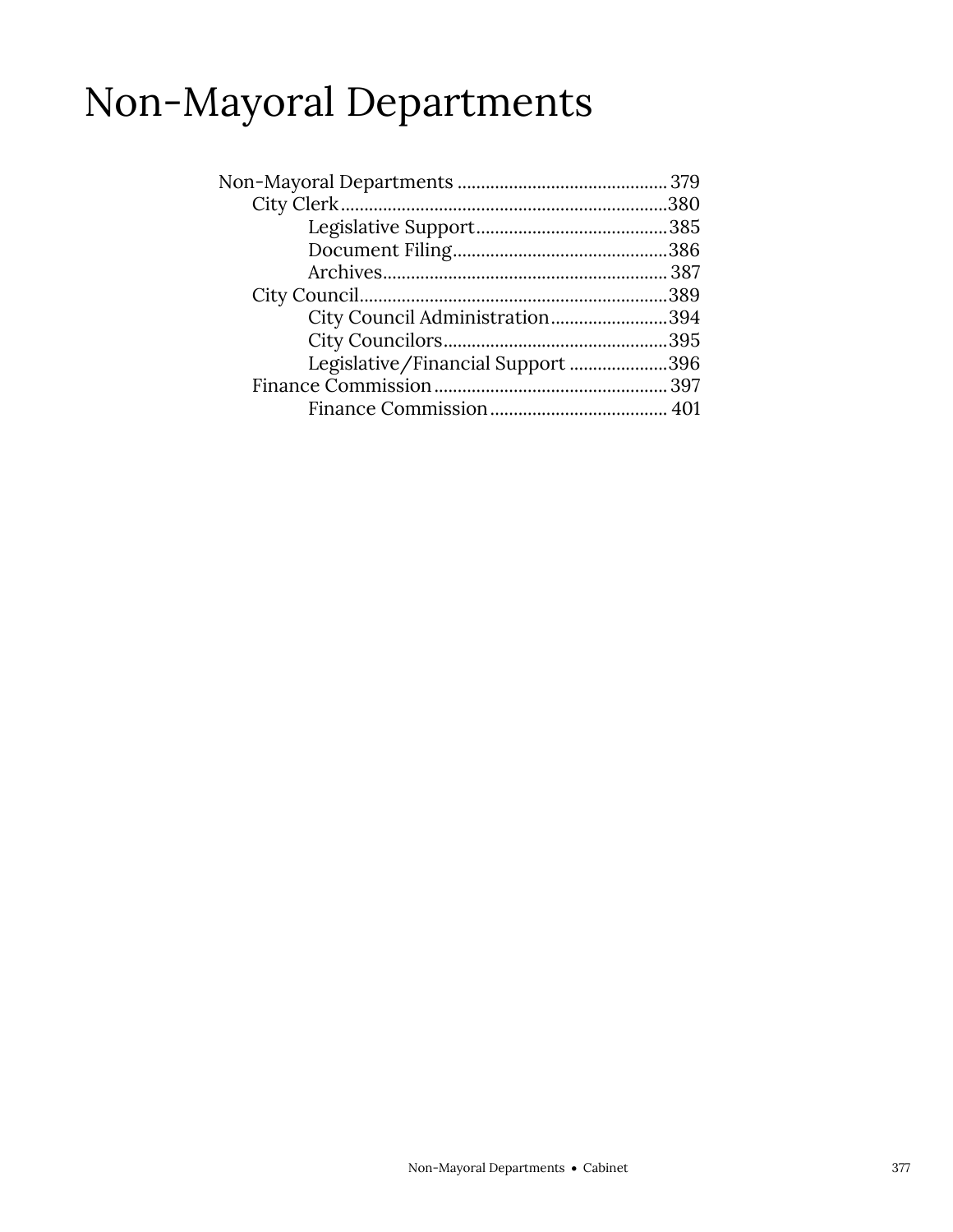### Non-Mayoral Departments

| City Council Administration394    |  |
|-----------------------------------|--|
|                                   |  |
| Legislative/Financial Support 396 |  |
|                                   |  |
|                                   |  |
|                                   |  |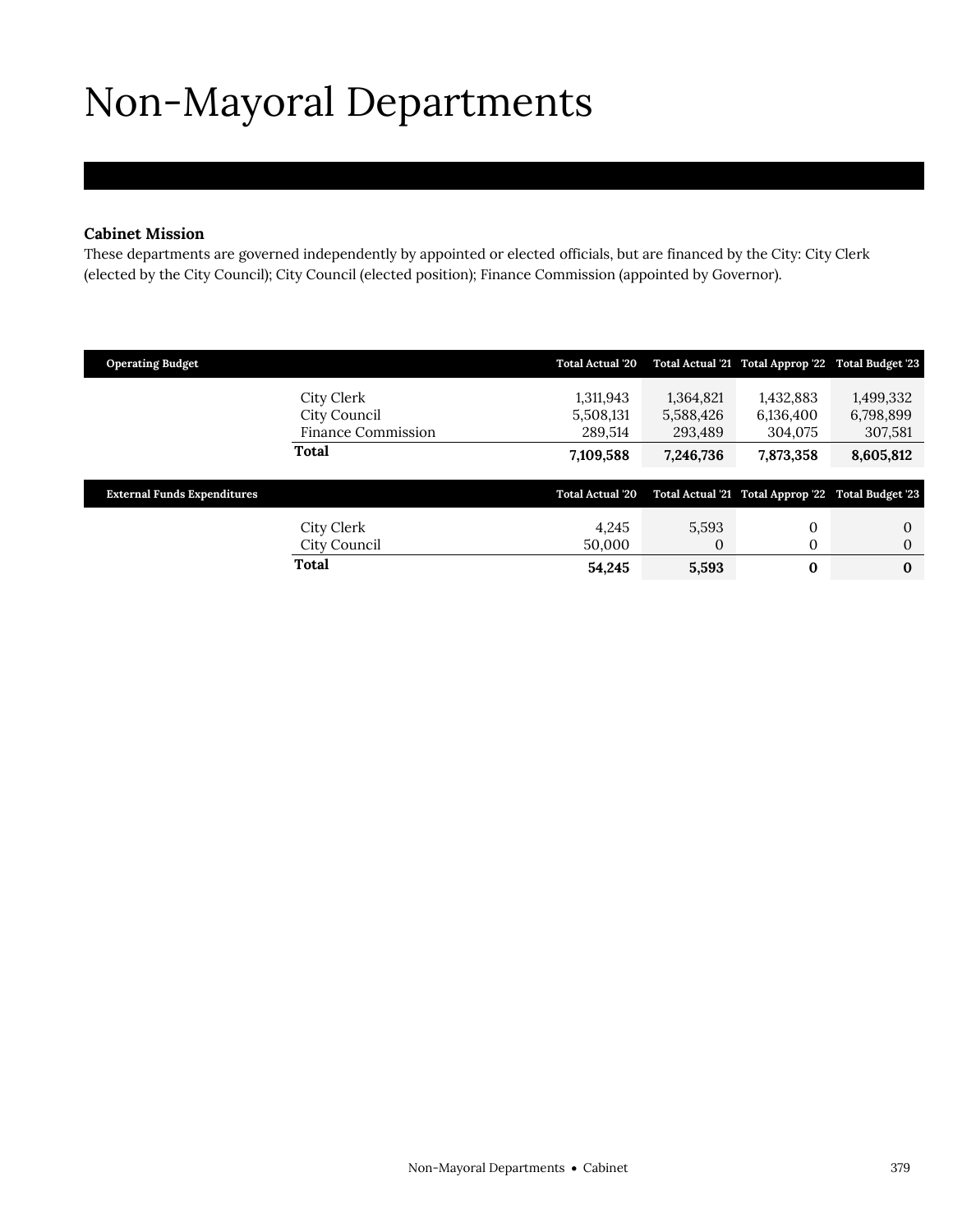# <span id="page-2-0"></span>Non-Mayoral Departments

### **Cabinet Mission**

These departments are governed independently by appointed or elected officials, but are financed by the City: City Clerk (elected by the City Council); City Council (elected position); Finance Commission (appointed by Governor).

| <b>Operating Budget</b>                                 | <b>Total Actual '20</b>           |                                   | Total Actual '21 Total Approp '22 Total Budget '23 |                                   |
|---------------------------------------------------------|-----------------------------------|-----------------------------------|----------------------------------------------------|-----------------------------------|
| City Clerk<br>City Council<br><b>Finance Commission</b> | 1,311,943<br>5,508,131<br>289,514 | 1,364,821<br>5,588,426<br>293,489 | 1,432,883<br>6,136,400<br>304,075                  | 1,499,332<br>6,798,899<br>307,581 |
| Total                                                   | 7,109,588                         | 7,246,736                         | 7,873,358                                          | 8,605,812                         |
| <b>External Funds Expenditures</b>                      | <b>Total Actual '20</b>           |                                   | Total Actual '21 Total Approp '22 Total Budget '23 |                                   |
| City Clerk<br>City Council                              | 4,245<br>50,000                   | 5,593<br>0                        | 0<br>0                                             | $\Omega$<br>$\Omega$              |
| Total                                                   | 54,245                            | 5,593                             | $\bf{0}$                                           | $\bf{0}$                          |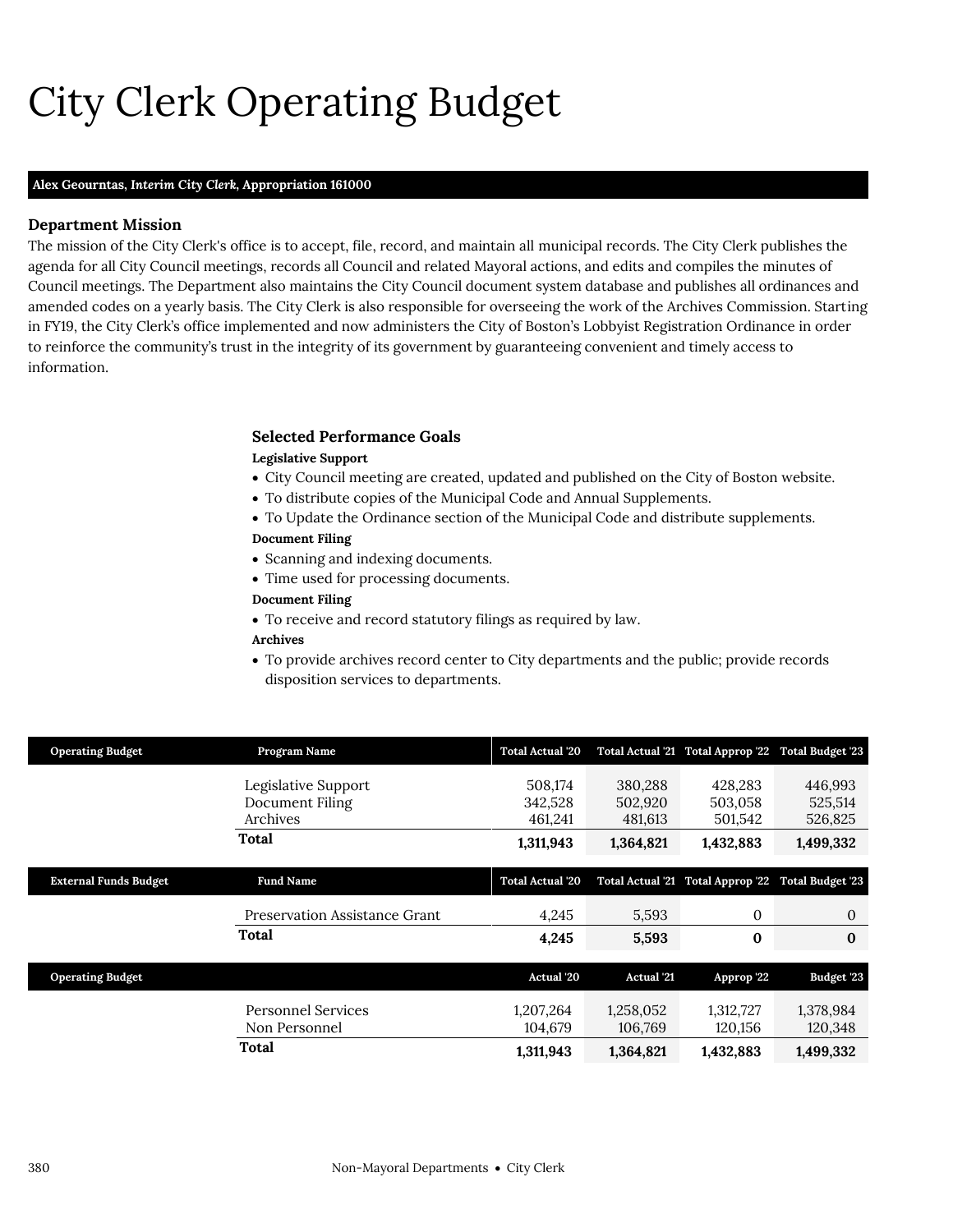# City Clerk Operating Budget

#### **Alex Geourntas,** *Interim City Clerk,* **Appropriation 161000**

### **Department Mission**

City Clerk

The mission of the City Clerk's office is to accept, file, record, and maintain all municipal records. The City Clerk publishes the agenda for all City Council meetings, records all Council and related Mayoral actions, and edits and compiles the minutes of Council meetings. The Department also maintains the City Council document system database and publishes all ordinances and amended codes on a yearly basis. The City Clerk is also responsible for overseeing the work of the Archives Commission. Starting in FY19, the City Clerk's office implemented and now administers the City of Boston's Lobbyist Registration Ordinance in order to reinforce the community's trust in the integrity of its government by guaranteeing convenient and timely access to information.

### <span id="page-3-0"></span>**Selected Performance Goals Legislative Support**

- City Council meeting are created, updated and published on the City of Boston website.
- To distribute copies of the Municipal Code and Annual Supplements.
- To Update the Ordinance section of the Municipal Code and distribute supplements.

### **Document Filing**

- Scanning and indexing documents.
- Time used for processing documents.

#### **Document Filing**

To receive and record statutory filings as required by law.

### **Archives**

 To provide archives record center to City departments and the public; provide records disposition services to departments.

| <b>Operating Budget</b>      | Program Name                                       | <b>Total Actual '20</b>       |                               | Total Actual '21 Total Approp '22 Total Budget '23 |                               |
|------------------------------|----------------------------------------------------|-------------------------------|-------------------------------|----------------------------------------------------|-------------------------------|
|                              | Legislative Support<br>Document Filing<br>Archives | 508.174<br>342,528<br>461,241 | 380.288<br>502,920<br>481,613 | 428.283<br>503,058<br>501,542                      | 446,993<br>525,514<br>526,825 |
|                              | Total                                              | 1,311,943                     | 1,364,821                     | 1,432,883                                          | 1,499,332                     |
|                              |                                                    |                               |                               |                                                    |                               |
| <b>External Funds Budget</b> | <b>Fund Name</b>                                   | <b>Total Actual '20</b>       |                               | Total Actual '21 Total Approp '22 Total Budget '23 |                               |
|                              | Preservation Assistance Grant                      | 4,245                         | 5,593                         | 0                                                  | $\mathbf{0}$                  |
|                              | Total                                              | 4,245                         | 5,593                         | $\bf{0}$                                           | $\mathbf{0}$                  |
|                              |                                                    |                               |                               |                                                    |                               |
| <b>Operating Budget</b>      |                                                    | <b>Actual</b> '20             | <b>Actual</b> '21             | Approp '22                                         | Budget '23                    |
|                              | <b>Personnel Services</b><br>Non Personnel         | 1,207,264<br>104,679          | 1,258,052<br>106,769          | 1,312,727<br>120,156                               | 1,378,984<br>120,348          |
|                              | Total                                              | 1,311,943                     | 1,364,821                     | 1,432,883                                          | 1,499,332                     |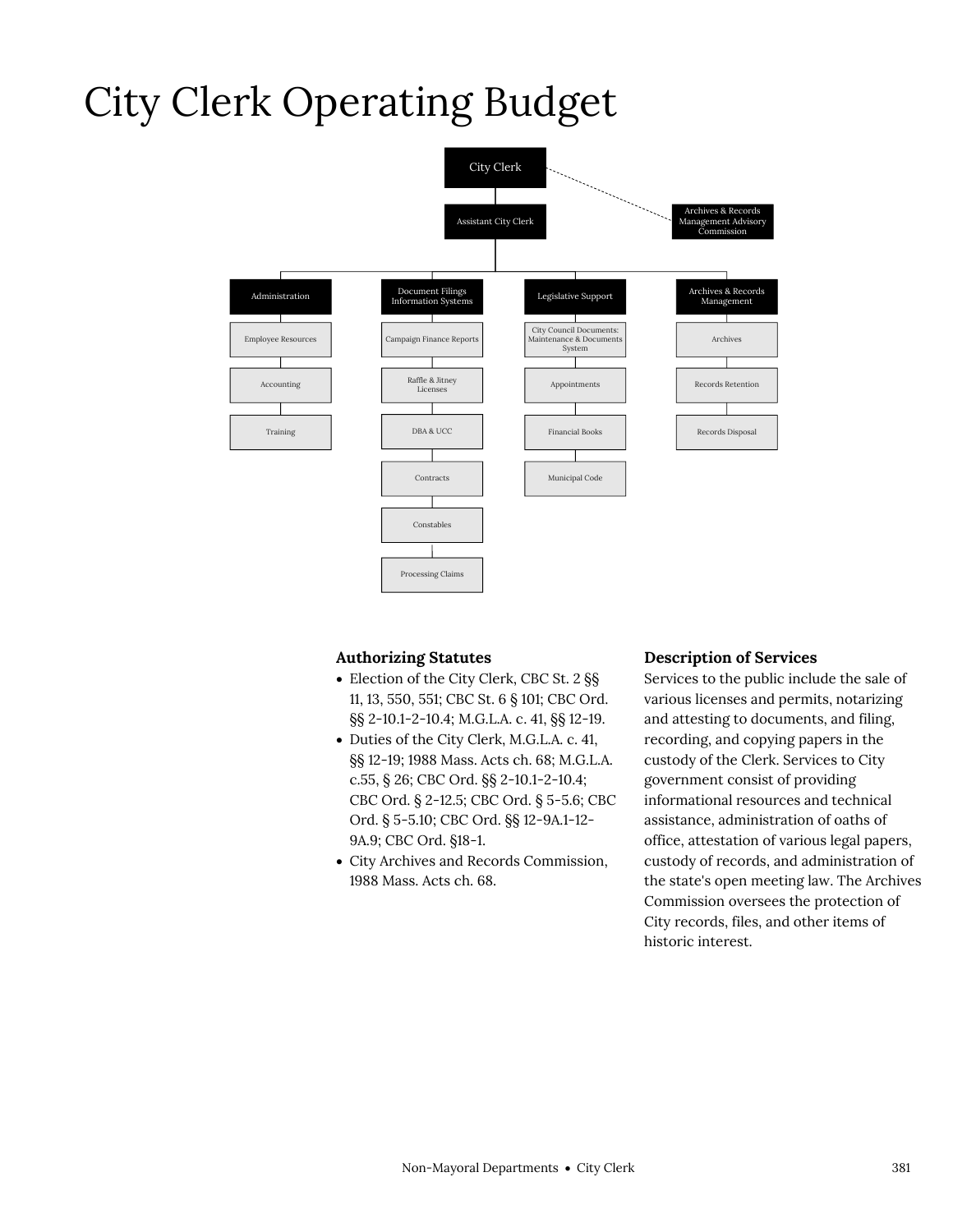### City Clerk Operating Budget



### **Authorizing Statutes**

- Election of the City Clerk, CBC St. 2 §§ 11, 13, 550, 551; CBC St. 6 § 101; CBC Ord. §§ 2-10.1-2-10.4; M.G.L.A. c. 41, §§ 12-19.
- Duties of the City Clerk, M.G.L.A. c. 41, §§ 12-19; 1988 Mass. Acts ch. 68; M.G.L.A. c.55, § 26; CBC Ord. §§ 2-10.1-2-10.4; CBC Ord. § 2-12.5; CBC Ord. § 5-5.6; CBC Ord. § 5-5.10; CBC Ord. §§ 12-9A.1-12- 9A.9; CBC Ord. §18-1.
- City Archives and Records Commission, 1988 Mass. Acts ch. 68.

### **Description of Services**

Services to the public include the sale of various licenses and permits, notarizing and attesting to documents, and filing, recording, and copying papers in the custody of the Clerk. Services to City government consist of providing informational resources and technical assistance, administration of oaths of office, attestation of various legal papers, custody of records, and administration of the state's open meeting law. The Archives Commission oversees the protection of City records, files, and other items of historic interest.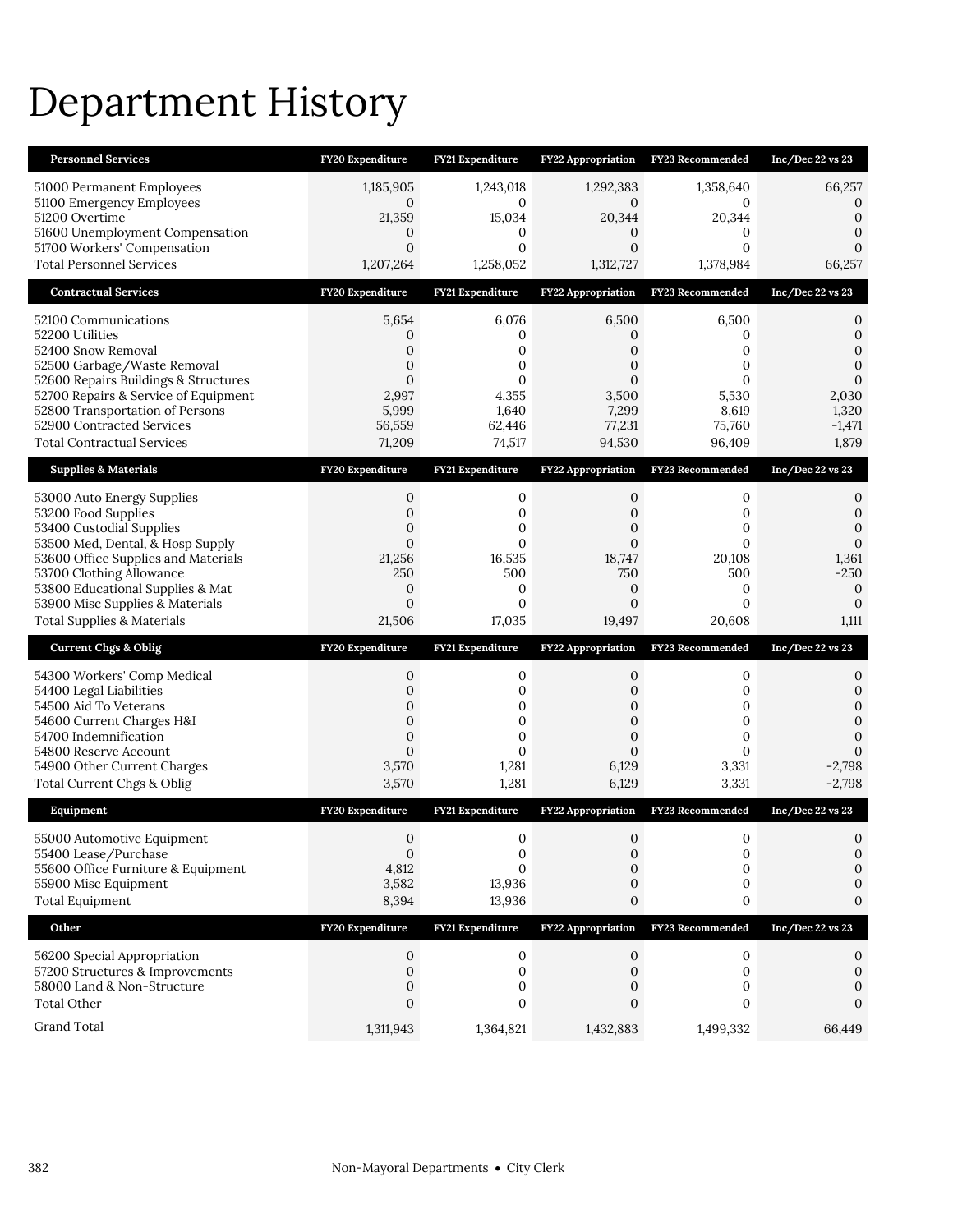### Department History

| <b>Personnel Services</b>                                                                                                                                                                                                                                                         | FY20 Expenditure                                                | <b>FY21 Expenditure</b>                                                          | <b>FY22 Appropriation</b>                                                                             | FY23 Recommended                                                                             | Inc/Dec 22 vs 23                                                                                                    |
|-----------------------------------------------------------------------------------------------------------------------------------------------------------------------------------------------------------------------------------------------------------------------------------|-----------------------------------------------------------------|----------------------------------------------------------------------------------|-------------------------------------------------------------------------------------------------------|----------------------------------------------------------------------------------------------|---------------------------------------------------------------------------------------------------------------------|
| 51000 Permanent Employees<br>51100 Emergency Employees<br>51200 Overtime<br>51600 Unemployment Compensation<br>51700 Workers' Compensation<br><b>Total Personnel Services</b>                                                                                                     | 1,185,905<br>0<br>21,359<br>0<br>$\boldsymbol{0}$<br>1,207,264  | 1,243,018<br>$\mathbf{0}$<br>15,034<br>0<br>$\mathbf{0}$<br>1,258,052            | 1,292,383<br>$\mathbf{0}$<br>20,344<br>$\mathbf{0}$<br>$\boldsymbol{0}$<br>1,312,727                  | 1,358,640<br>0<br>20,344<br>$\mathbf{0}$<br>$\mathbf{0}$<br>1,378,984                        | 66,257<br>$\mathbf 0$<br>$\mathbf{0}$<br>$\theta$<br>$\mathbf{0}$<br>66,257                                         |
| <b>Contractual Services</b>                                                                                                                                                                                                                                                       | FY20 Expenditure                                                | FY21 Expenditure                                                                 | <b>FY22 Appropriation</b>                                                                             | FY23 Recommended                                                                             | $Inc/Dec$ 22 vs 23                                                                                                  |
| 52100 Communications<br>52200 Utilities<br>52400 Snow Removal<br>52500 Garbage/Waste Removal<br>52600 Repairs Buildings & Structures<br>52700 Repairs & Service of Equipment<br>52800 Transportation of Persons<br>52900 Contracted Services<br><b>Total Contractual Services</b> | 5,654<br>0<br>0<br>0<br>0<br>2,997<br>5,999<br>56,559<br>71,209 | 6,076<br>0<br>0<br>0<br>0<br>4,355<br>1,640<br>62,446<br>74,517                  | 6,500<br>0<br>$\mathbf{0}$<br>$\mathbf{0}$<br>$\mathbf{0}$<br>3,500<br>7,299<br>77,231<br>94,530      | 6,500<br>0<br>$\mathbf{0}$<br>$\mathbf{0}$<br>$\Omega$<br>5,530<br>8,619<br>75,760<br>96,409 | $\mathbf 0$<br>$\mathbf{0}$<br>$\mathbf{0}$<br>$\mathbf{0}$<br>$\mathbf{0}$<br>2,030<br>1,320<br>$-1,471$<br>1,879  |
| <b>Supplies &amp; Materials</b>                                                                                                                                                                                                                                                   | FY20 Expenditure                                                | FY21 Expenditure                                                                 | <b>FY22 Appropriation</b>                                                                             | FY23 Recommended                                                                             | $Inc/Dec$ 22 vs 23                                                                                                  |
| 53000 Auto Energy Supplies<br>53200 Food Supplies<br>53400 Custodial Supplies<br>53500 Med, Dental, & Hosp Supply<br>53600 Office Supplies and Materials<br>53700 Clothing Allowance<br>53800 Educational Supplies & Mat                                                          | 0<br>0<br>0<br>0<br>21,256<br>250<br>0                          | $\mathbf 0$<br>$\mathbf 0$<br>0<br>0<br>16,535<br>500<br>0                       | $\mathbf{0}$<br>$\mathbf{0}$<br>$\boldsymbol{0}$<br>$\mathbf{0}$<br>18,747<br>750<br>$\boldsymbol{0}$ | 0<br>$\mathbf{0}$<br>0<br>$\mathbf{0}$<br>20,108<br>500<br>0                                 | $\mathbf 0$<br>$\mathbf{0}$<br>$\mathbf{0}$<br>$\mathbf{0}$<br>1,361<br>$-250$<br>$\boldsymbol{0}$                  |
| 53900 Misc Supplies & Materials<br>Total Supplies & Materials                                                                                                                                                                                                                     | $\boldsymbol{0}$<br>21,506                                      | $\mathbf{0}$<br>17,035                                                           | $\mathbf{0}$<br>19,497                                                                                | $\mathbf{0}$<br>20,608                                                                       | $\mathbf{0}$<br>1,111                                                                                               |
| <b>Current Chgs &amp; Oblig</b>                                                                                                                                                                                                                                                   | FY20 Expenditure                                                | FY21 Expenditure                                                                 | FY22 Appropriation                                                                                    | FY23 Recommended                                                                             | $Inc/Dec$ 22 vs 23                                                                                                  |
| 54300 Workers' Comp Medical<br>54400 Legal Liabilities<br>54500 Aid To Veterans<br>54600 Current Charges H&I<br>54700 Indemnification<br>54800 Reserve Account<br>54900 Other Current Charges<br>Total Current Chgs & Oblig                                                       | 0<br>0<br>0<br>0<br>0<br>0<br>3,570<br>3,570                    | $\boldsymbol{0}$<br>$\mathbf 0$<br>0<br>0<br>$\mathbf{0}$<br>0<br>1,281<br>1,281 | 0<br>$\mathbf{0}$<br>$\mathbf{0}$<br>$\mathbf{0}$<br>$\mathbf{0}$<br>$\mathbf{0}$<br>6,129<br>6,129   | 0<br>0<br>0<br>0<br>$\mathbf{0}$<br>$\Omega$<br>3,331<br>3,331                               | $\mathbf 0$<br>$\mathbf{0}$<br>$\mathbf{0}$<br>$\mathbf{0}$<br>$\mathbf{0}$<br>$\mathbf{0}$<br>$-2,798$<br>$-2,798$ |
| Equipment                                                                                                                                                                                                                                                                         | FY20 Expenditure                                                | FY21 Expenditure                                                                 | <b>FY22 Appropriation</b>                                                                             | FY23 Recommended                                                                             | $Inc/Dec$ 22 vs 23                                                                                                  |
| 55000 Automotive Equipment<br>55400 Lease/Purchase<br>55600 Office Furniture & Equipment<br>55900 Misc Equipment<br><b>Total Equipment</b>                                                                                                                                        | $\mathbf{0}$<br>$\boldsymbol{0}$<br>4,812<br>3,582<br>8,394     | $\mathbf{0}$<br>$\mathbf 0$<br>$\Omega$<br>13,936<br>13,936                      | $\mathbf{0}$<br>0<br>$\mathbf{0}$<br>$\mathbf{0}$<br>$\mathbf{0}$                                     | 0<br>0<br>$\mathbf{0}$<br>0<br>0                                                             | $\mathbf{0}$<br>$\boldsymbol{0}$<br>$\mathbf{0}$<br>$\mathbf{0}$<br>$\mathbf{0}$                                    |
| Other                                                                                                                                                                                                                                                                             | FY20 Expenditure                                                | FY21 Expenditure                                                                 | <b>FY22 Appropriation</b>                                                                             | FY23 Recommended                                                                             | Inc/Dec 22 vs 23                                                                                                    |
| 56200 Special Appropriation<br>57200 Structures & Improvements<br>58000 Land & Non-Structure<br><b>Total Other</b><br>Grand Total                                                                                                                                                 | 0<br>$\mathbf{0}$<br>0<br>$\mathbf{0}$                          | $\mathbf 0$<br>$\mathbf 0$<br>$\mathbf 0$<br>0                                   | 0<br>$\mathbf{0}$<br>0<br>$\mathbf{0}$                                                                | 0<br>0<br>0<br>$\mathbf{0}$                                                                  | $\mathbf{0}$<br>$\mathbf{0}$<br>$\mathbf{0}$<br>$\mathbf{0}$                                                        |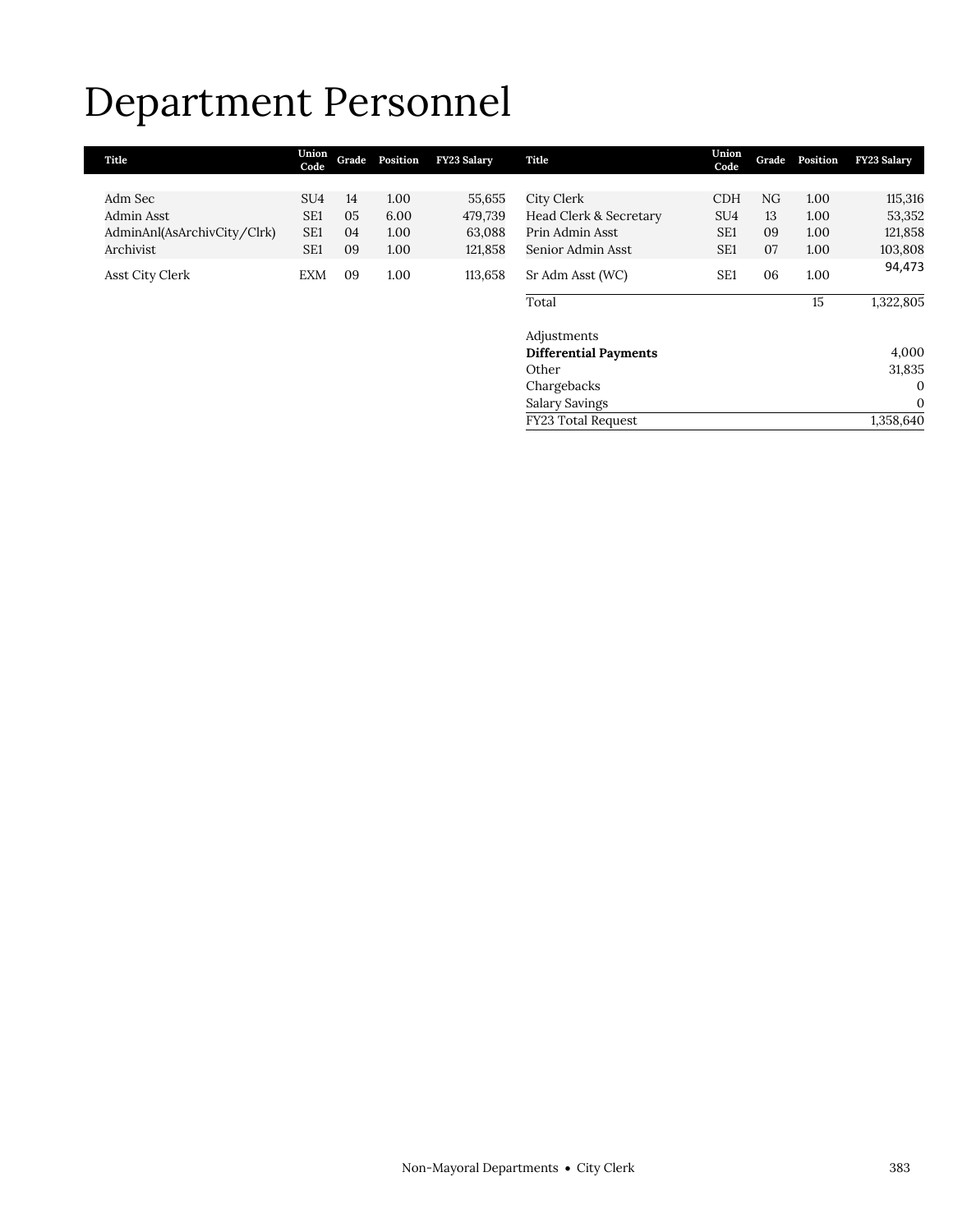### Department Personnel

| Title                       | Union<br>Code   | Grade | Position | <b>FY23 Salary</b> | Title                        | Union<br>Code   | Grade | Position | <b>FY23 Salary</b> |
|-----------------------------|-----------------|-------|----------|--------------------|------------------------------|-----------------|-------|----------|--------------------|
|                             |                 |       |          |                    |                              |                 |       |          |                    |
| Adm Sec                     | SU <sub>4</sub> | 14    | 1.00     | 55,655             | City Clerk                   | <b>CDH</b>      | NG    | 1.00     | 115,316            |
| Admin Asst                  | SE <sub>1</sub> | 05    | 6.00     | 479,739            | Head Clerk & Secretary       | SU <sub>4</sub> | 13    | 1.00     | 53,352             |
| AdminAnl(AsArchivCity/Clrk) | SE <sub>1</sub> | 04    | 1.00     | 63,088             | Prin Admin Asst              | SE <sub>1</sub> | 09    | 1.00     | 121,858            |
| Archivist                   | SE <sub>1</sub> | 09    | 1.00     | 121,858            | Senior Admin Asst            | SE <sub>1</sub> | 07    | 1.00     | 103,808            |
| Asst City Clerk             | <b>EXM</b>      | 09    | 1.00     | 113,658            | Sr Adm Asst (WC)             | SE <sub>1</sub> | 06    | 1.00     | 94,473             |
|                             |                 |       |          |                    | Total                        |                 |       | 15       | 1,322,805          |
|                             |                 |       |          |                    | Adjustments                  |                 |       |          |                    |
|                             |                 |       |          |                    | <b>Differential Payments</b> |                 |       |          | 4,000              |
|                             |                 |       |          |                    | Other                        |                 |       |          | 31,835             |

Chargebacks 0 Salary Savings 0 FY23 Total Request 1,358,640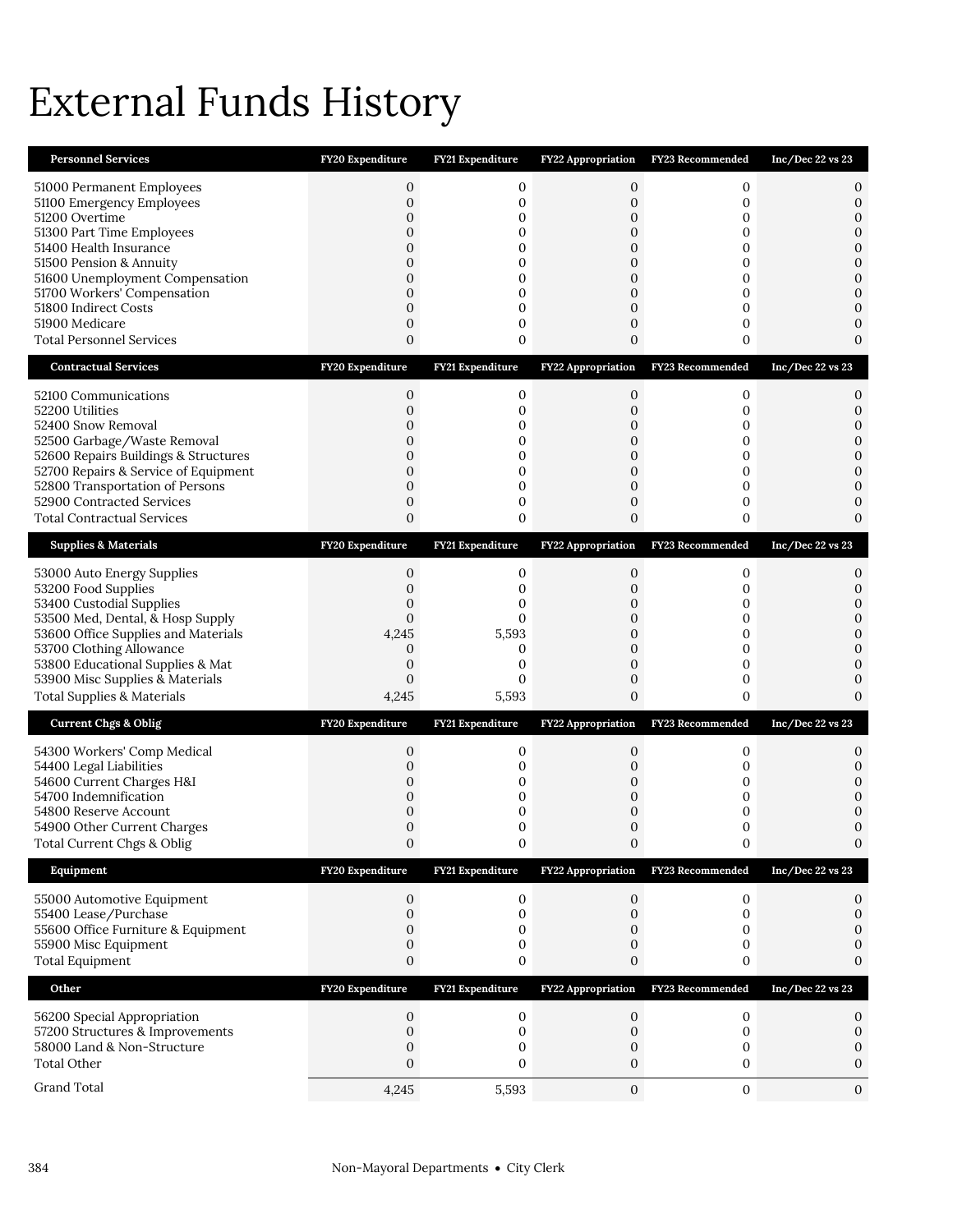# External Funds History

| <b>Personnel Services</b>                                                                                                                                                                                                                                                                                 | FY20 Expenditure                                                                                                                                  | FY21 Expenditure                                                                                                               | <b>FY22 Appropriation</b>                                                                                                                     | FY23 Recommended                                               | Inc/Dec $22$ vs $23$                                                                                                  |
|-----------------------------------------------------------------------------------------------------------------------------------------------------------------------------------------------------------------------------------------------------------------------------------------------------------|---------------------------------------------------------------------------------------------------------------------------------------------------|--------------------------------------------------------------------------------------------------------------------------------|-----------------------------------------------------------------------------------------------------------------------------------------------|----------------------------------------------------------------|-----------------------------------------------------------------------------------------------------------------------|
| 51000 Permanent Employees<br>51100 Emergency Employees<br>51200 Overtime<br>51300 Part Time Employees<br>51400 Health Insurance<br>51500 Pension & Annuity<br>51600 Unemployment Compensation<br>51700 Workers' Compensation<br>51800 Indirect Costs<br>51900 Medicare<br><b>Total Personnel Services</b> | $\mathbf{0}$<br>$\mathbf{0}$<br>$\mathbf 0$<br>0<br>0<br>0<br>$\mathbf{0}$<br>0<br>$\mathbf 0$<br>$\boldsymbol{0}$<br>0                           | 0<br>$\mathbf 0$<br>0<br>$\mathbf{0}$<br>0<br>0<br>0<br>0<br>$\mathbf 0$<br>$\mathbf 0$<br>0                                   | $\mathbf{0}$<br>$\mathbf{0}$<br>$\mathbf{0}$<br>$\mathbf{0}$<br>0<br>0<br>$\overline{0}$<br>$\mathbf{0}$<br>$\mathbf{0}$<br>0<br>$\mathbf{0}$ | 0<br>0<br>0<br>0<br>0<br>0<br>0<br>0<br>0<br>0<br>0            | 0<br>$\mathbf{0}$<br>$\mathbf{0}$<br>$\mathbf{0}$<br>0<br>0<br>$\mathbf{0}$<br>$\mathbf{0}$<br>0<br>0<br>$\mathbf{0}$ |
| <b>Contractual Services</b>                                                                                                                                                                                                                                                                               | FY20 Expenditure                                                                                                                                  | FY21 Expenditure                                                                                                               | <b>FY22 Appropriation</b>                                                                                                                     | FY23 Recommended                                               | Inc/Dec 22 vs 23                                                                                                      |
| 52100 Communications<br>52200 Utilities<br>52400 Snow Removal<br>52500 Garbage/Waste Removal<br>52600 Repairs Buildings & Structures<br>52700 Repairs & Service of Equipment<br>52800 Transportation of Persons<br>52900 Contracted Services<br><b>Total Contractual Services</b>                         | $\mathbf{0}$<br>$\mathbf 0$<br>0<br>$\mathbf 0$<br>0<br>0<br>$\mathbf 0$<br>$\boldsymbol{0}$<br>$\mathbf 0$                                       | $\mathbf 0$<br>$\mathbf{0}$<br>$\mathbf{0}$<br>$\mathbf 0$<br>$\mathbf{0}$<br>0<br>$\mathbf{0}$<br>$\mathbf{0}$<br>$\mathbf 0$ | $\mathbf{0}$<br>$\mathbf{0}$<br>0<br>$\mathbf{0}$<br>$\mathbf{0}$<br>$\mathbf{0}$<br>0<br>0<br>$\mathbf{0}$                                   | 0<br>$\mathbf 0$<br>0<br>0<br>0<br>0<br>$\mathbf 0$<br>0<br>0  | 0<br>0<br>$\mathbf{0}$<br>$\mathbf{0}$<br>$\mathbf{0}$<br>$\mathbf{0}$<br>0<br>0<br>0                                 |
| <b>Supplies &amp; Materials</b>                                                                                                                                                                                                                                                                           | FY20 Expenditure                                                                                                                                  | FY21 Expenditure                                                                                                               | FY22 Appropriation                                                                                                                            | FY23 Recommended                                               | Inc/Dec 22 vs 23                                                                                                      |
| 53000 Auto Energy Supplies<br>53200 Food Supplies<br>53400 Custodial Supplies<br>53500 Med, Dental, & Hosp Supply<br>53600 Office Supplies and Materials<br>53700 Clothing Allowance<br>53800 Educational Supplies & Mat<br>53900 Misc Supplies & Materials<br><b>Total Supplies &amp; Materials</b>      | $\boldsymbol{0}$<br>$\mathbf 0$<br>$\boldsymbol{0}$<br>$\mathbf{0}$<br>4,245<br>$\boldsymbol{0}$<br>$\boldsymbol{0}$<br>$\boldsymbol{0}$<br>4,245 | 0<br>$\mathbf 0$<br>0<br>$\mathbf{0}$<br>5,593<br>0<br>$\mathbf{0}$<br>$\mathbf{0}$<br>5,593                                   | 0<br>$\mathbf{0}$<br>0<br>$\mathbf{0}$<br>$\mathbf{0}$<br>$\mathbf{0}$<br>$\mathbf{0}$<br>$\mathbf{0}$<br>$\overline{0}$                      | 0<br>$\mathbf{0}$<br>0<br>0<br>0<br>0<br>0<br>$\mathbf 0$<br>0 | 0<br>0<br>0<br>$\mathbf{0}$<br>$\mathbf{0}$<br>$\mathbf{0}$<br>0<br>$\overline{0}$<br>$\Omega$                        |
| <b>Current Chgs &amp; Oblig</b>                                                                                                                                                                                                                                                                           | FY20 Expenditure                                                                                                                                  | FY21 Expenditure                                                                                                               | <b>FY22 Appropriation</b>                                                                                                                     | FY23 Recommended                                               | Inc/Dec 22 vs 23                                                                                                      |
| 54300 Workers' Comp Medical<br>54400 Legal Liabilities<br>54600 Current Charges H&I<br>54700 Indemnification<br>54800 Reserve Account<br>54900 Other Current Charges<br>Total Current Chgs & Oblig                                                                                                        | $\boldsymbol{0}$<br>$\boldsymbol{0}$<br>$\boldsymbol{0}$<br>0<br>0<br>0<br>$\boldsymbol{0}$                                                       | 0<br>$\mathbf{0}$<br>0<br>0<br>0<br>0<br>0                                                                                     | $\mathbf{0}$<br>$\mathbf 0$<br>0<br>0<br>0<br>0<br>0                                                                                          | 0<br>0<br>0<br>0<br>0<br>0                                     | 0<br>0<br>0<br>0<br>0<br>$\mathbf{0}$                                                                                 |
| Equipment                                                                                                                                                                                                                                                                                                 | FY20 Expenditure                                                                                                                                  | FY21 Expenditure                                                                                                               | <b>FY22 Appropriation</b>                                                                                                                     | FY23 Recommended                                               | Inc/Dec 22 vs 23                                                                                                      |
| 55000 Automotive Equipment<br>55400 Lease/Purchase<br>55600 Office Furniture & Equipment<br>55900 Misc Equipment<br><b>Total Equipment</b>                                                                                                                                                                | $\mathbf{0}$<br>$\mathbf{0}$<br>$\mathbf{0}$<br>$\boldsymbol{0}$<br>$\mathbf{0}$                                                                  | 0<br>$\mathbf 0$<br>$\mathbf 0$<br>$\mathbf 0$<br>$\mathbf 0$                                                                  | $\mathbf{0}$<br>$\mathbf{0}$<br>0<br>$\mathbf 0$<br>0                                                                                         | 0<br>0<br>0<br>0<br>0                                          | 0<br>$\boldsymbol{0}$<br>$\mathbf{0}$<br>$\boldsymbol{0}$<br>0                                                        |
| Other                                                                                                                                                                                                                                                                                                     | FY20 Expenditure                                                                                                                                  | FY21 Expenditure                                                                                                               | FY22 Appropriation                                                                                                                            | FY23 Recommended                                               | Inc/Dec 22 vs 23                                                                                                      |
| 56200 Special Appropriation<br>57200 Structures & Improvements<br>58000 Land & Non-Structure<br><b>Total Other</b>                                                                                                                                                                                        | 0<br>$\boldsymbol{0}$<br>$\boldsymbol{0}$<br>$\mathbf{0}$                                                                                         | 0<br>$\mathbf{0}$<br>$\mathbf 0$<br>$\mathbf{0}$                                                                               | $\mathbf{0}$<br>$\boldsymbol{0}$<br>$\mathbf 0$<br>$\mathbf{0}$                                                                               | 0<br>$\boldsymbol{0}$<br>0<br>0                                | 0<br>$\mathbf 0$<br>0<br>0                                                                                            |
| Grand Total                                                                                                                                                                                                                                                                                               | 4,245                                                                                                                                             | 5,593                                                                                                                          | $\mathbf{0}$                                                                                                                                  | $\mathbf{0}$                                                   | $\mathbf{0}$                                                                                                          |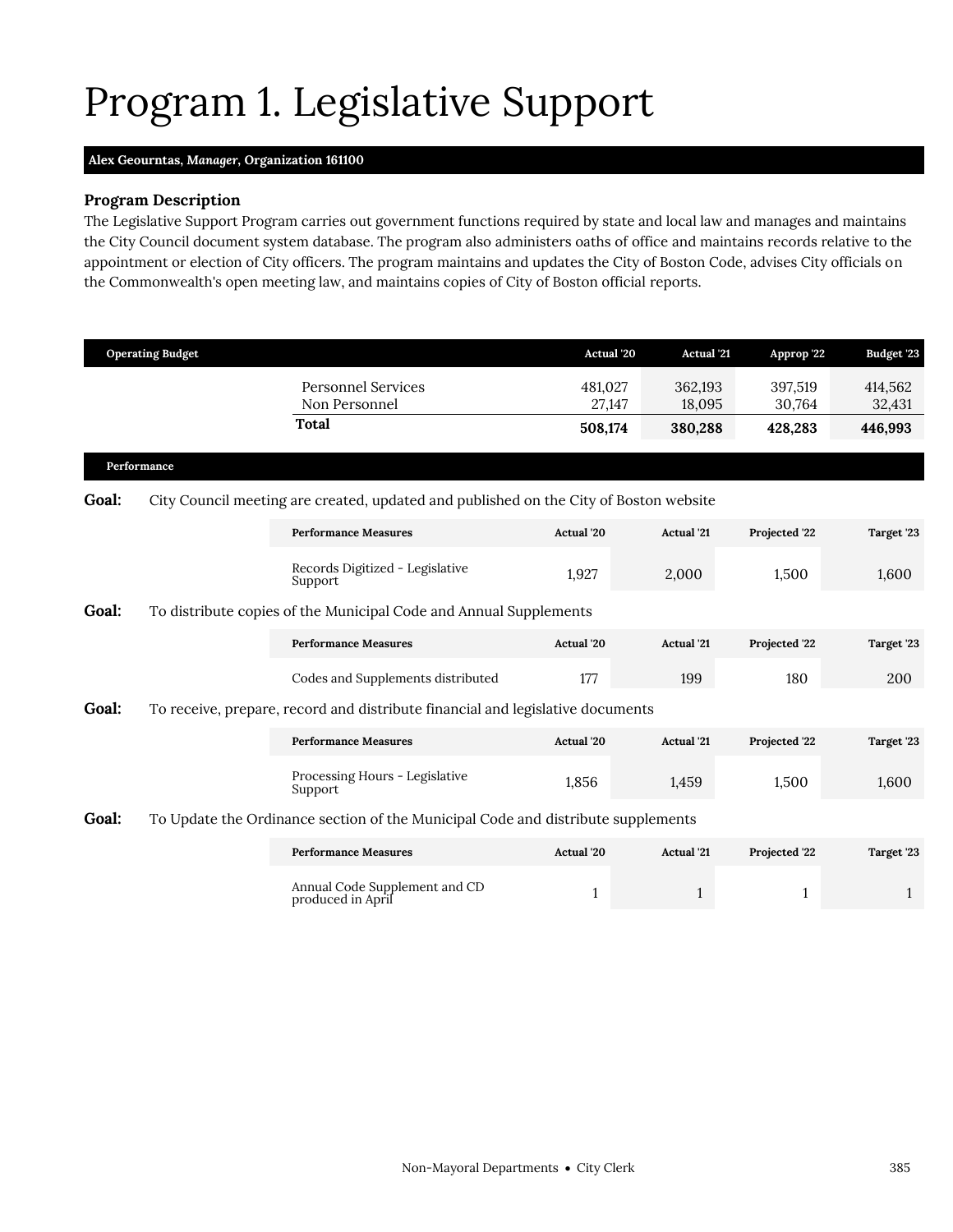# <span id="page-8-0"></span>Program 1. Legislative Support

### **Alex Geourntas,** *Manager,* **Organization 161100**

#### **Program Description**

The Legislative Support Program carries out government functions required by state and local law and manages and maintains the City Council document system database. The program also administers oaths of office and maintains records relative to the appointment or election of City officers. The program maintains and updates the City of Boston Code, advises City officials on the Commonwealth's open meeting law, and maintains copies of City of Boston official reports.

|             | <b>Operating Budget</b> |                                                                                       | Actual 20         | <b>Actual</b> '21 | Approp '22        | <b>Budget '23</b> |
|-------------|-------------------------|---------------------------------------------------------------------------------------|-------------------|-------------------|-------------------|-------------------|
|             |                         | <b>Personnel Services</b><br>Non Personnel                                            | 481,027<br>27,147 | 362,193<br>18,095 | 397,519<br>30,764 | 414,562<br>32,431 |
|             |                         | Total                                                                                 | 508,174           | 380,288           | 428,283           | 446,993           |
| Performance |                         |                                                                                       |                   |                   |                   |                   |
| Goal:       |                         | City Council meeting are created, updated and published on the City of Boston website |                   |                   |                   |                   |
|             |                         | <b>Performance Measures</b>                                                           | Actual '20        | <b>Actual</b> '21 | Projected '22     | Target '23        |
|             |                         | Records Digitized - Legislative<br>Support                                            | 1,927             | 2,000             | 1,500             | 1,600             |
| Goal:       |                         | To distribute copies of the Municipal Code and Annual Supplements                     |                   |                   |                   |                   |
|             |                         | <b>Performance Measures</b>                                                           | Actual '20        | <b>Actual</b> '21 | Projected '22     | Target '23        |
|             |                         | Codes and Supplements distributed                                                     | 177               | 199               | 180               | 200               |
| Goal:       |                         | To receive, prepare, record and distribute financial and legislative documents        |                   |                   |                   |                   |
|             |                         | <b>Performance Measures</b>                                                           | Actual '20        | <b>Actual</b> '21 | Projected '22     | Target '23        |
|             |                         | Processing Hours - Legislative<br>Support                                             | 1,856             | 1,459             | 1,500             | 1,600             |
| Goal:       |                         | To Update the Ordinance section of the Municipal Code and distribute supplements      |                   |                   |                   |                   |
|             |                         | <b>Performance Measures</b>                                                           | Actual '20        | <b>Actual</b> '21 | Projected '22     | Target '23        |

Annual Code Supplement and CD

Annual Code Supplement and CD and the state of the state of the state of the state of the state of the state of the state of the state of the state of the state of the state of the state of the state of the state of the st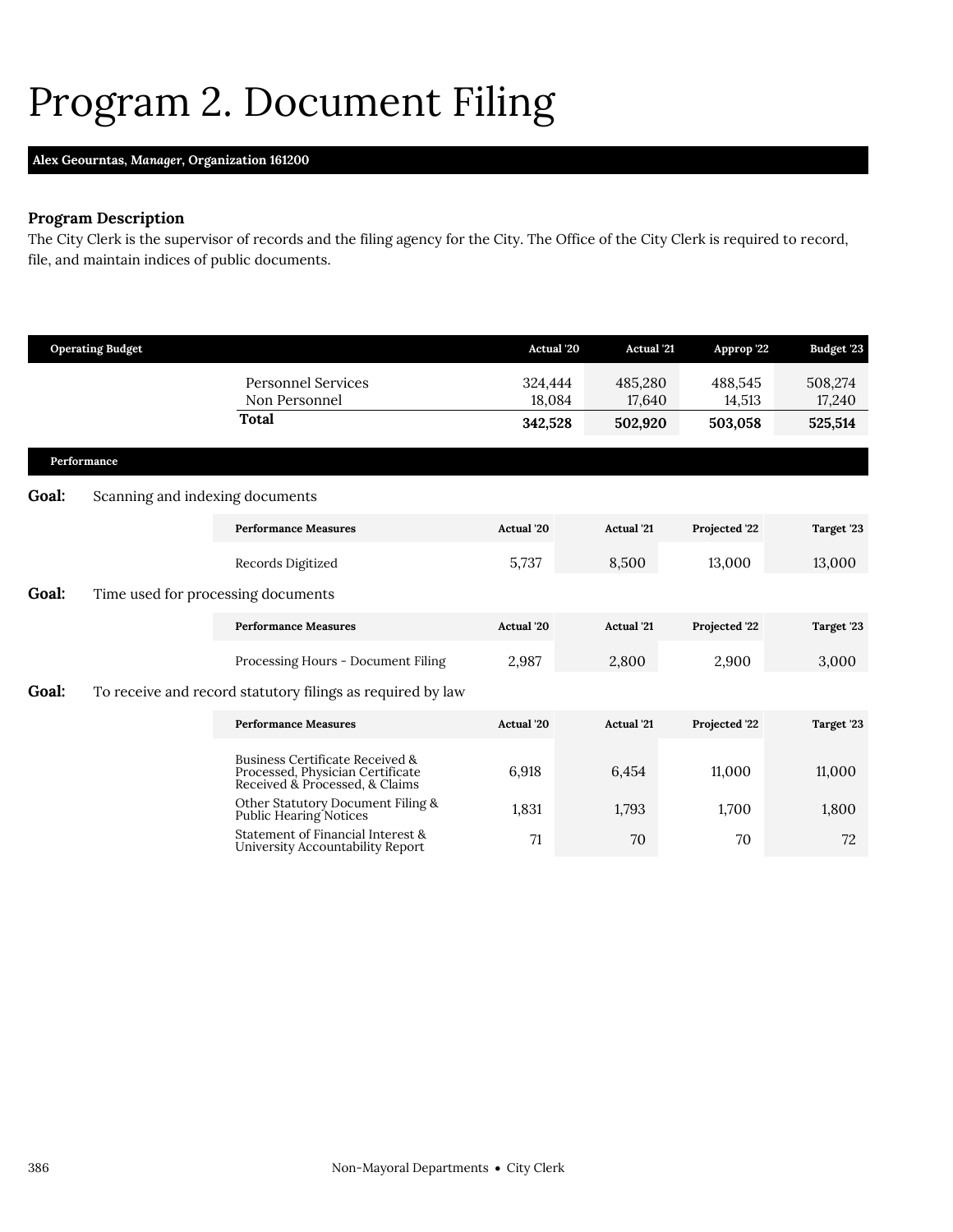### <span id="page-9-0"></span>Program 2. Document Filing

### **Alex Geourntas,** *Manager,* **Organization 161200**

### **Program Description**

The City Clerk is the supervisor of records and the filing agency for the City. The Office of the City Clerk is required to record, file, and maintain indices of public documents.

|       | <b>Operating Budget</b>            |                                                                                                       | <b>Actual</b> '20 | <b>Actual</b> '21 | Approp '22        | Budget '23        |
|-------|------------------------------------|-------------------------------------------------------------------------------------------------------|-------------------|-------------------|-------------------|-------------------|
|       |                                    | <b>Personnel Services</b><br>Non Personnel                                                            | 324,444<br>18.084 | 485,280<br>17,640 | 488,545<br>14,513 | 508,274<br>17,240 |
|       |                                    | <b>Total</b>                                                                                          | 342,528           | 502,920           | 503,058           | 525,514           |
|       | Performance                        |                                                                                                       |                   |                   |                   |                   |
| Goal: | Scanning and indexing documents    |                                                                                                       |                   |                   |                   |                   |
|       |                                    | <b>Performance Measures</b>                                                                           | Actual '20        | <b>Actual</b> '21 | Projected '22     | Target '23        |
|       |                                    | Records Digitized                                                                                     | 5,737             | 8,500             | 13,000            | 13,000            |
| Goal: | Time used for processing documents |                                                                                                       |                   |                   |                   |                   |
|       |                                    | <b>Performance Measures</b>                                                                           | Actual '20        | <b>Actual</b> '21 | Projected '22     | Target '23        |
|       |                                    | Processing Hours - Document Filing                                                                    | 2,987             | 2,800             | 2,900             | 3,000             |
| Goal: |                                    | To receive and record statutory filings as required by law                                            |                   |                   |                   |                   |
|       |                                    | <b>Performance Measures</b>                                                                           | Actual '20        | <b>Actual</b> '21 | Projected '22     | Target '23        |
|       |                                    | Business Certificate Received &<br>Processed, Physician Certificate<br>Received & Processed, & Claims | 6,918             | 6,454             | 11,000            | 11,000            |
|       |                                    | Other Statutory Document Filing &<br>Public Hearing Notices                                           | 1,831             | 1,793             | 1,700             | 1,800             |
|       |                                    | Statement of Financial Interest &<br>University Accountability Report                                 | 71                | 70                | 70                | 72                |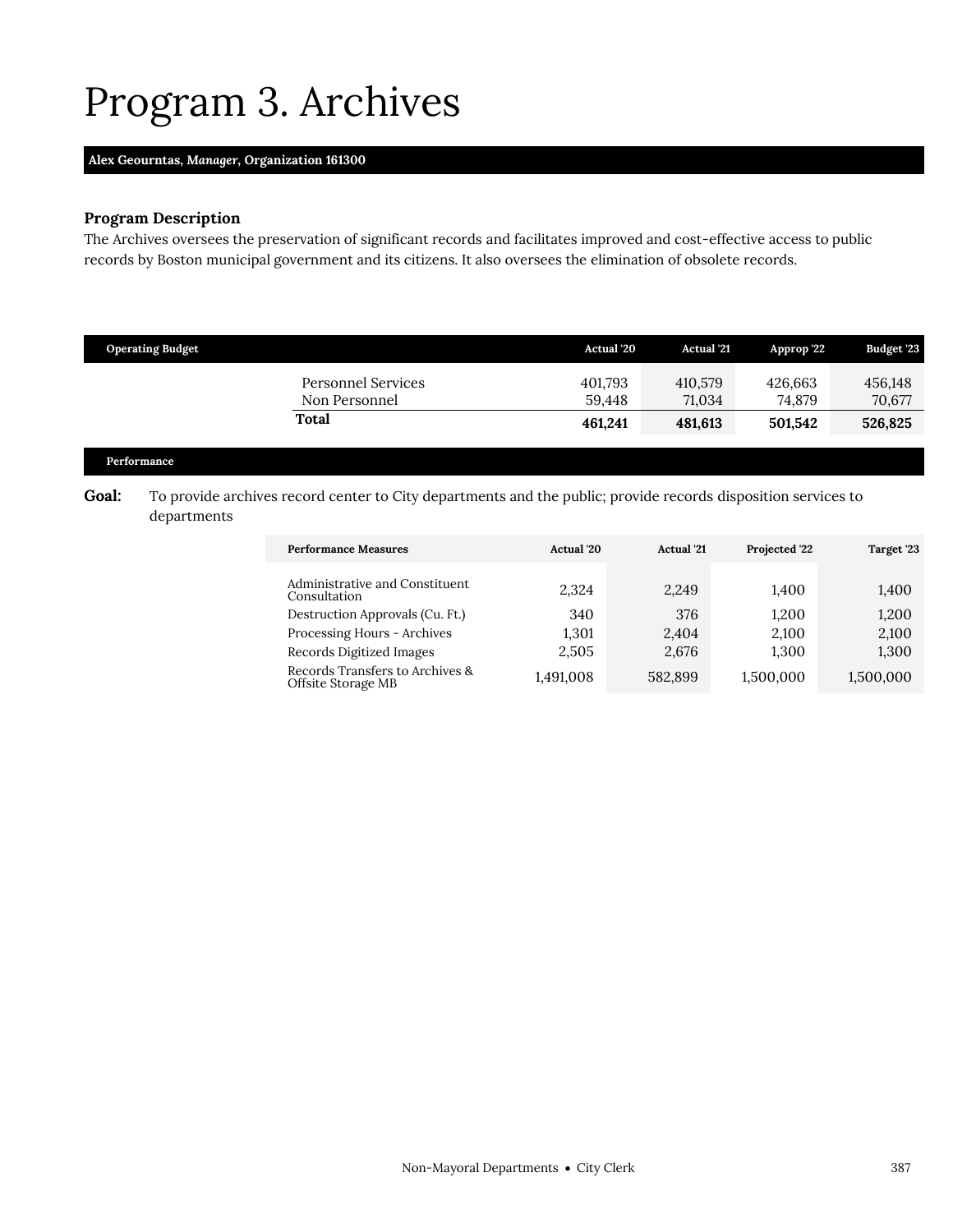### <span id="page-10-0"></span>Program 3. Archives

### **Alex Geourntas,** *Manager,* **Organization 161300**

### **Program Description**

The Archives oversees the preservation of significant records and facilitates improved and cost-effective access to public records by Boston municipal government and its citizens. It also oversees the elimination of obsolete records.

| <b>Operating Budget</b>                    | <b>Actual</b> '20 | <b>Actual</b> '21 | Approp 22         | <b>Budget '23</b> |
|--------------------------------------------|-------------------|-------------------|-------------------|-------------------|
| <b>Personnel Services</b><br>Non Personnel | 401,793<br>59.448 | 410.579<br>71.034 | 426.663<br>74.879 | 456,148<br>70,677 |
| <b>Total</b>                               | 461.241           | 481,613           | 501.542           | 526,825           |

### **Performance**

### Goal: To provide archives record center to City departments and the public; provide records disposition services to departments

| <b>Performance Measures</b>                           | Actual '20 | <b>Actual</b> '21 | Projected '22 | Target '23 |
|-------------------------------------------------------|------------|-------------------|---------------|------------|
| Administrative and Constituent<br>Consultation        | 2,324      | 2,249             | 1,400         | 1,400      |
| Destruction Approvals (Cu. Ft.)                       | 340        | 376               | 1.200         | 1,200      |
| Processing Hours - Archives                           | 1.301      | 2.404             | 2.100         | 2,100      |
| Records Digitized Images                              | 2,505      | 2,676             | 1,300         | 1,300      |
| Records Transfers to Archives &<br>Offsite Storage MB | 1,491,008  | 582,899           | 1,500,000     | 1,500,000  |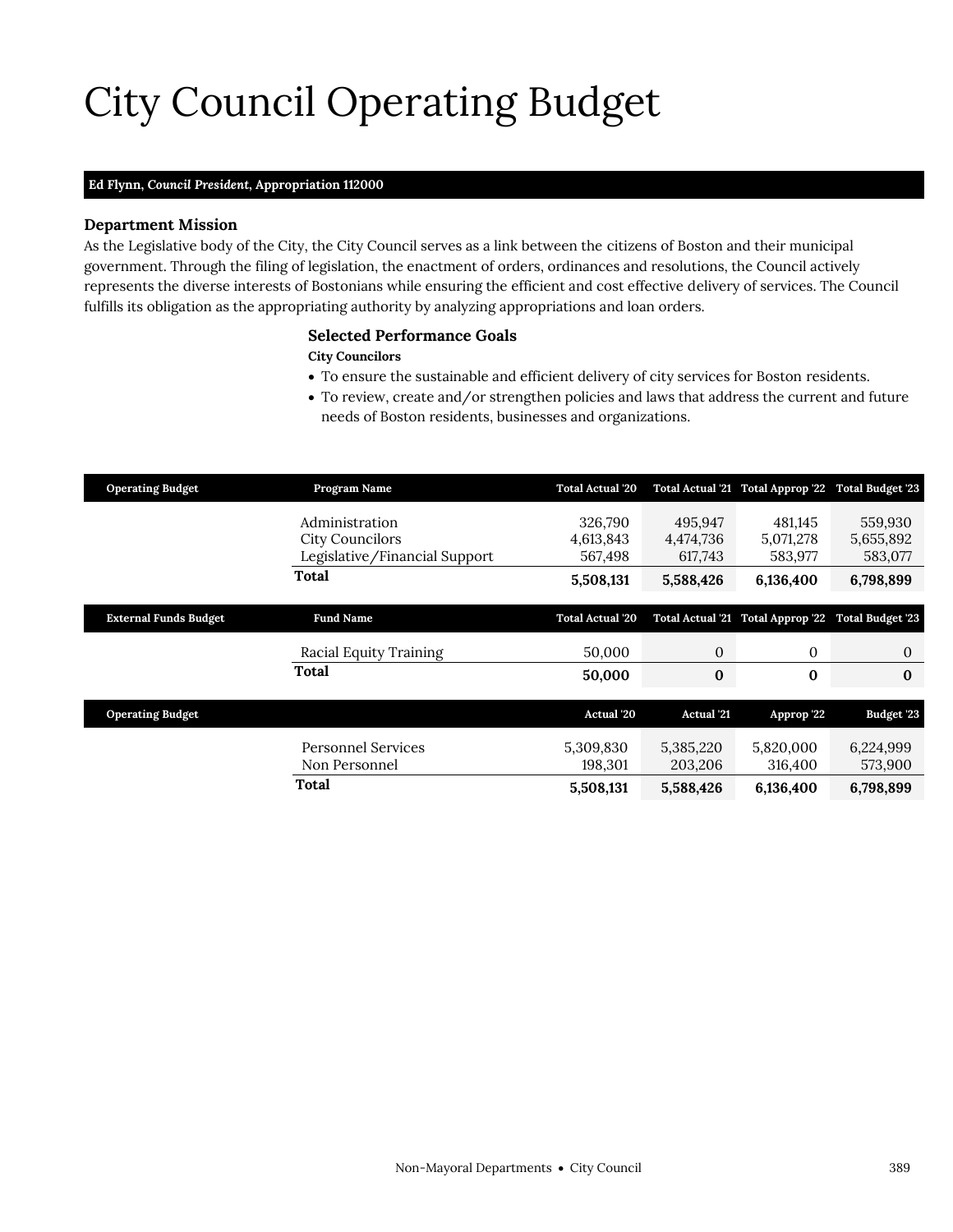# City Council Operating Budget

### **Ed Flynn,** *Council President,* **Appropriation 112000**

### **Department Mission**

City Council

As the Legislative body of the City, the City Council serves as a link between the citizens of Boston and their municipal government. Through the filing of legislation, the enactment of orders, ordinances and resolutions, the Council actively represents the diverse interests of Bostonians while ensuring the efficient and cost effective delivery of services. The Council fulfills its obligation as the appropriating authority by analyzing appropriations and loan orders.

### <span id="page-12-0"></span>**Selected Performance Goals**

### **City Councilors**

- To ensure the sustainable and efficient delivery of city services for Boston residents.
- To review, create and/or strengthen policies and laws that address the current and future needs of Boston residents, businesses and organizations.

| <b>Operating Budget</b>      | Program Name                                                              | <b>Total Actual '20</b>         |                                 | Total Actual '21 Total Approp '22 Total Budget '23 |                                 |
|------------------------------|---------------------------------------------------------------------------|---------------------------------|---------------------------------|----------------------------------------------------|---------------------------------|
|                              | Administration<br><b>City Councilors</b><br>Legislative/Financial Support | 326,790<br>4,613,843<br>567,498 | 495,947<br>4,474,736<br>617,743 | 481,145<br>5,071,278<br>583,977                    | 559,930<br>5,655,892<br>583,077 |
|                              | <b>Total</b>                                                              | 5,508,131                       | 5,588,426                       | 6,136,400                                          | 6,798,899                       |
|                              |                                                                           |                                 |                                 |                                                    |                                 |
| <b>External Funds Budget</b> | <b>Fund Name</b>                                                          | <b>Total Actual '20</b>         |                                 | Total Actual '21 Total Approp '22 Total Budget '23 |                                 |
|                              | Racial Equity Training                                                    | 50.000                          | $\mathbf{0}$                    | $\mathbf{0}$                                       | 0                               |
|                              | Total                                                                     | 50,000                          | $\bf{0}$                        | $\bf{0}$                                           | $\bf{0}$                        |
|                              |                                                                           |                                 |                                 |                                                    |                                 |
| <b>Operating Budget</b>      |                                                                           | <b>Actual</b> '20               | <b>Actual</b> '21               | Approp '22                                         | Budget '23                      |
|                              | <b>Personnel Services</b><br>Non Personnel                                | 5,309,830<br>198,301            | 5,385,220<br>203,206            | 5,820,000<br>316,400                               | 6,224,999<br>573,900            |
|                              | Total                                                                     | 5,508,131                       | 5,588,426                       | 6,136,400                                          | 6,798,899                       |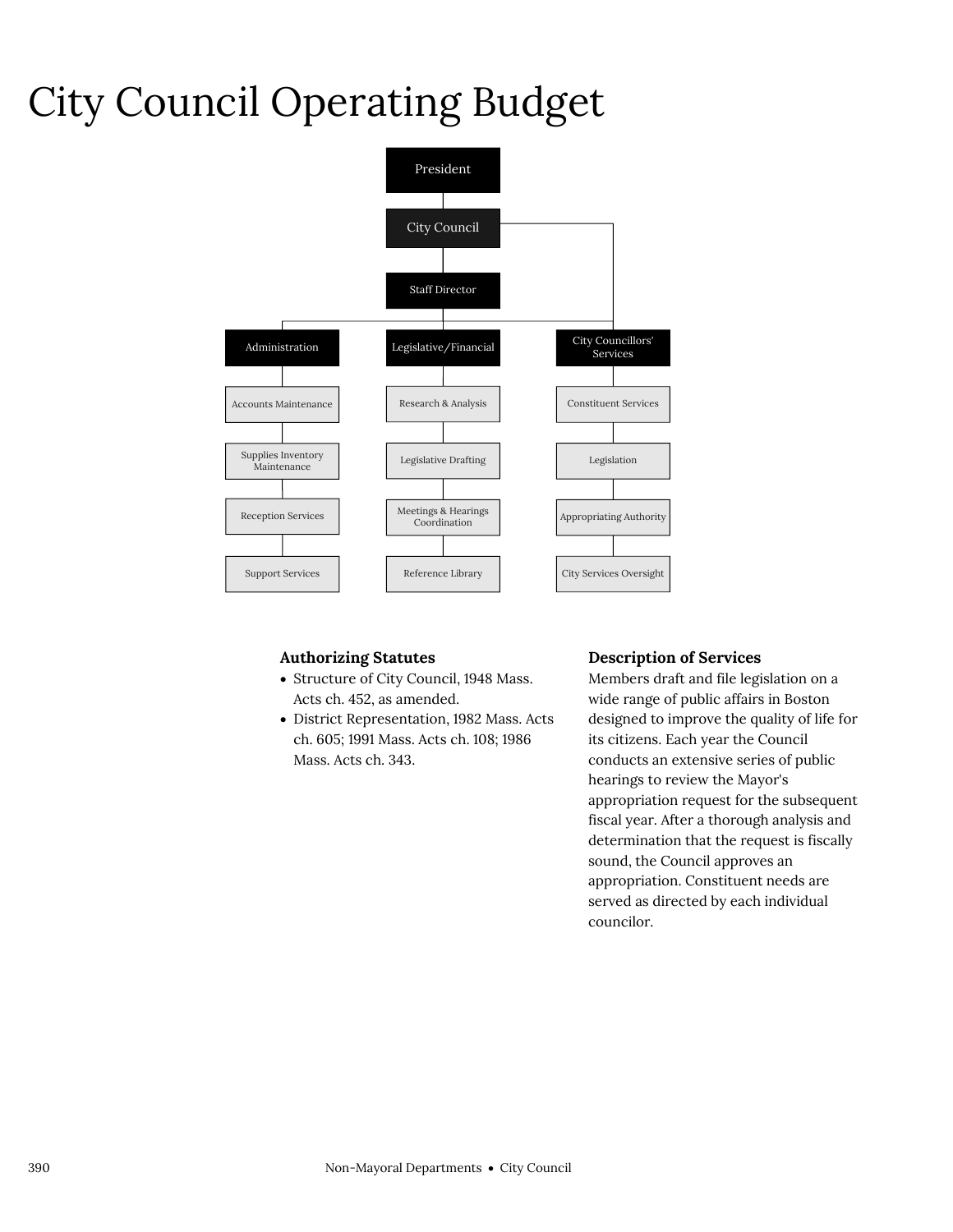### City Council Operating Budget



### **Authorizing Statutes**

- Structure of City Council, 1948 Mass. Acts ch. 452, as amended.
- District Representation, 1982 Mass. Acts ch. 605; 1991 Mass. Acts ch. 108; 1986 Mass. Acts ch. 343.

### **Description of Services**

Members draft and file legislation on a wide range of public affairs in Boston designed to improve the quality of life for its citizens. Each year the Council conducts an extensive series of public hearings to review the Mayor's appropriation request for the subsequent fiscal year. After a thorough analysis and determination that the request is fiscally sound, the Council approves an appropriation. Constituent needs are served as directed by each individual councilor.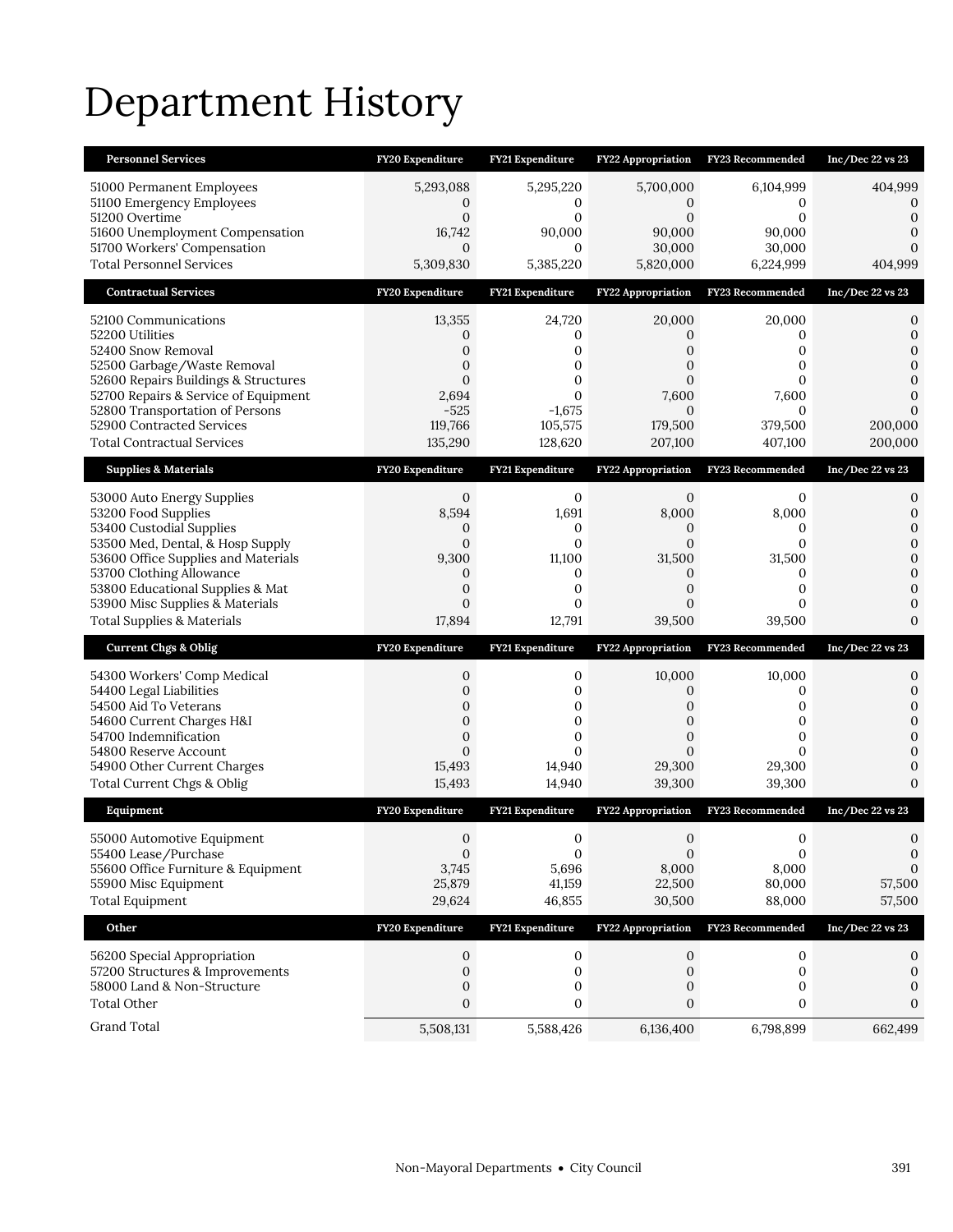# Department History

| <b>Personnel Services</b>                                                                                                                                                                                                                                                         | FY20 Expenditure                                                                                | FY21 Expenditure                                                                      | FY22 Appropriation                                                                 | <b>FY23 Recommended</b>                                               | Inc/Dec 22 vs 23                                                              |
|-----------------------------------------------------------------------------------------------------------------------------------------------------------------------------------------------------------------------------------------------------------------------------------|-------------------------------------------------------------------------------------------------|---------------------------------------------------------------------------------------|------------------------------------------------------------------------------------|-----------------------------------------------------------------------|-------------------------------------------------------------------------------|
| 51000 Permanent Employees<br>51100 Emergency Employees<br>51200 Overtime<br>51600 Unemployment Compensation<br>51700 Workers' Compensation<br><b>Total Personnel Services</b>                                                                                                     | 5,293,088<br>0<br>$\mathbf{0}$<br>16,742<br>$\mathbf{0}$<br>5,309,830                           | 5,295,220<br>0<br>$\mathbf{0}$<br>90,000<br>$\mathbf{0}$<br>5,385,220                 | 5,700,000<br>$\mathbf{0}$<br>$\mathbf{0}$<br>90,000<br>30,000<br>5,820,000         | 6,104,999<br>0<br>$\mathbf{0}$<br>90,000<br>30,000<br>6,224,999       | 404,999<br>0<br>0<br>0<br>404,999                                             |
| <b>Contractual Services</b>                                                                                                                                                                                                                                                       | FY20 Expenditure                                                                                | FY21 Expenditure                                                                      | <b>FY22 Appropriation</b>                                                          | <b>FY23 Recommended</b>                                               | Inc/Dec 22 vs 23                                                              |
| 52100 Communications<br>52200 Utilities<br>52400 Snow Removal<br>52500 Garbage/Waste Removal<br>52600 Repairs Buildings & Structures<br>52700 Repairs & Service of Equipment<br>52800 Transportation of Persons<br>52900 Contracted Services<br><b>Total Contractual Services</b> | 13,355<br>0<br>0<br>0<br>$\overline{0}$<br>2,694<br>$-525$<br>119,766<br>135,290                | 24,720<br>0<br>0<br>0<br>0<br>$\Omega$<br>$-1,675$<br>105,575<br>128,620              | 20,000<br>0<br>0<br>0<br>$\overline{0}$<br>7,600<br>$\Omega$<br>179,500<br>207,100 | 20,000<br>0<br>0<br>0<br>0<br>7,600<br>$\Omega$<br>379,500<br>407,100 | 0<br>$\mathbf{0}$<br>$\Omega$<br>0<br>0<br>$\mathbf{0}$<br>200,000<br>200,000 |
| <b>Supplies &amp; Materials</b>                                                                                                                                                                                                                                                   | FY20 Expenditure                                                                                | FY21 Expenditure                                                                      | FY22 Appropriation                                                                 | FY23 Recommended                                                      | Inc/Dec 22 vs 23                                                              |
| 53000 Auto Energy Supplies<br>53200 Food Supplies<br>53400 Custodial Supplies<br>53500 Med, Dental, & Hosp Supply<br>53600 Office Supplies and Materials<br>53700 Clothing Allowance<br>53800 Educational Supplies & Mat                                                          | $\mathbf{0}$<br>8,594<br>0<br>$\mathbf{0}$<br>9,300<br>$\boldsymbol{0}$<br>$\mathbf{0}$         | $\mathbf 0$<br>1,691<br>0<br>$\mathbf{0}$<br>11,100<br>$\mathbf{0}$<br>$\mathbf{0}$   | $\mathbf{0}$<br>8,000<br>0<br>0<br>31,500<br>0<br>$\overline{0}$                   | 0<br>8,000<br>0<br>0<br>31,500<br>0<br>0                              | 0<br>$\mathbf{0}$<br>$\mathbf{0}$<br>0<br>$\mathbf{0}$<br>$\mathbf{0}$<br>0   |
| 53900 Misc Supplies & Materials<br><b>Total Supplies &amp; Materials</b>                                                                                                                                                                                                          | 0<br>17,894                                                                                     | $\mathbf{0}$<br>12,791                                                                | 0<br>39,500                                                                        | $\Omega$<br>39,500                                                    | 0<br>$\Omega$                                                                 |
| <b>Current Chgs &amp; Oblig</b>                                                                                                                                                                                                                                                   | FY20 Expenditure                                                                                | FY21 Expenditure                                                                      | FY22 Appropriation                                                                 | <b>FY23 Recommended</b>                                               | Inc/Dec 22 vs 23                                                              |
| 54300 Workers' Comp Medical<br>54400 Legal Liabilities<br>54500 Aid To Veterans<br>54600 Current Charges H&I<br>54700 Indemnification<br>54800 Reserve Account<br>54900 Other Current Charges<br>Total Current Chgs & Oblig                                                       | 0<br>$\overline{0}$<br>0<br>$\mathbf 0$<br>$\overline{0}$<br>$\overline{0}$<br>15,493<br>15,493 | 0<br>$\mathbf{0}$<br>0<br>$\mathbf 0$<br>$\mathbf{0}$<br>$\Omega$<br>14,940<br>14,940 | 10,000<br>0<br>0<br>0<br>$\overline{0}$<br>$\overline{0}$<br>29,300<br>39,300      | 10,000<br>0<br>0<br>0<br>0<br>$\Omega$<br>29,300<br>39,300            | 0<br>0<br>$\mathbf{0}$<br>0<br>$\mathbf{0}$<br>$\Omega$<br>0<br>$\mathbf{0}$  |
| Equipment                                                                                                                                                                                                                                                                         | FY20 Expenditure                                                                                | FY21 Expenditure                                                                      | <b>FY22 Appropriation</b>                                                          | FY23 Recommended                                                      | Inc/Dec 22 vs 23                                                              |
| 55000 Automotive Equipment<br>55400 Lease/Purchase<br>55600 Office Furniture & Equipment<br>55900 Misc Equipment<br><b>Total Equipment</b>                                                                                                                                        | $\mathbf{0}$<br>$\mathbf 0$<br>3,745<br>25,879<br>29,624                                        | $\mathbf{0}$<br>$\mathbf{0}$<br>5,696<br>41,159<br>46,855                             | $\mathbf{0}$<br>$\mathbf{0}$<br>8,000<br>22,500<br>30,500                          | 0<br>$\mathbf{0}$<br>8,000<br>80,000<br>88,000                        | 0<br>$\mathbf{0}$<br>0<br>57,500<br>57,500                                    |
| Other                                                                                                                                                                                                                                                                             | FY20 Expenditure                                                                                | FY21 Expenditure                                                                      | <b>FY22 Appropriation</b>                                                          | FY23 Recommended                                                      | Inc/Dec 22 vs 23                                                              |
| 56200 Special Appropriation<br>57200 Structures & Improvements<br>58000 Land & Non-Structure<br><b>Total Other</b><br><b>Grand Total</b>                                                                                                                                          | $\mathbf{0}$<br>$\mathbf{0}$<br>0<br>0<br>5,508,131                                             | 0<br>$\mathbf 0$<br>0<br>0<br>5,588,426                                               | 0<br>$\mathbf 0$<br>0<br>0<br>6,136,400                                            | 0<br>$\mathbf 0$<br>0<br>0<br>6,798,899                               | 0<br>0<br>0<br>0<br>662,499                                                   |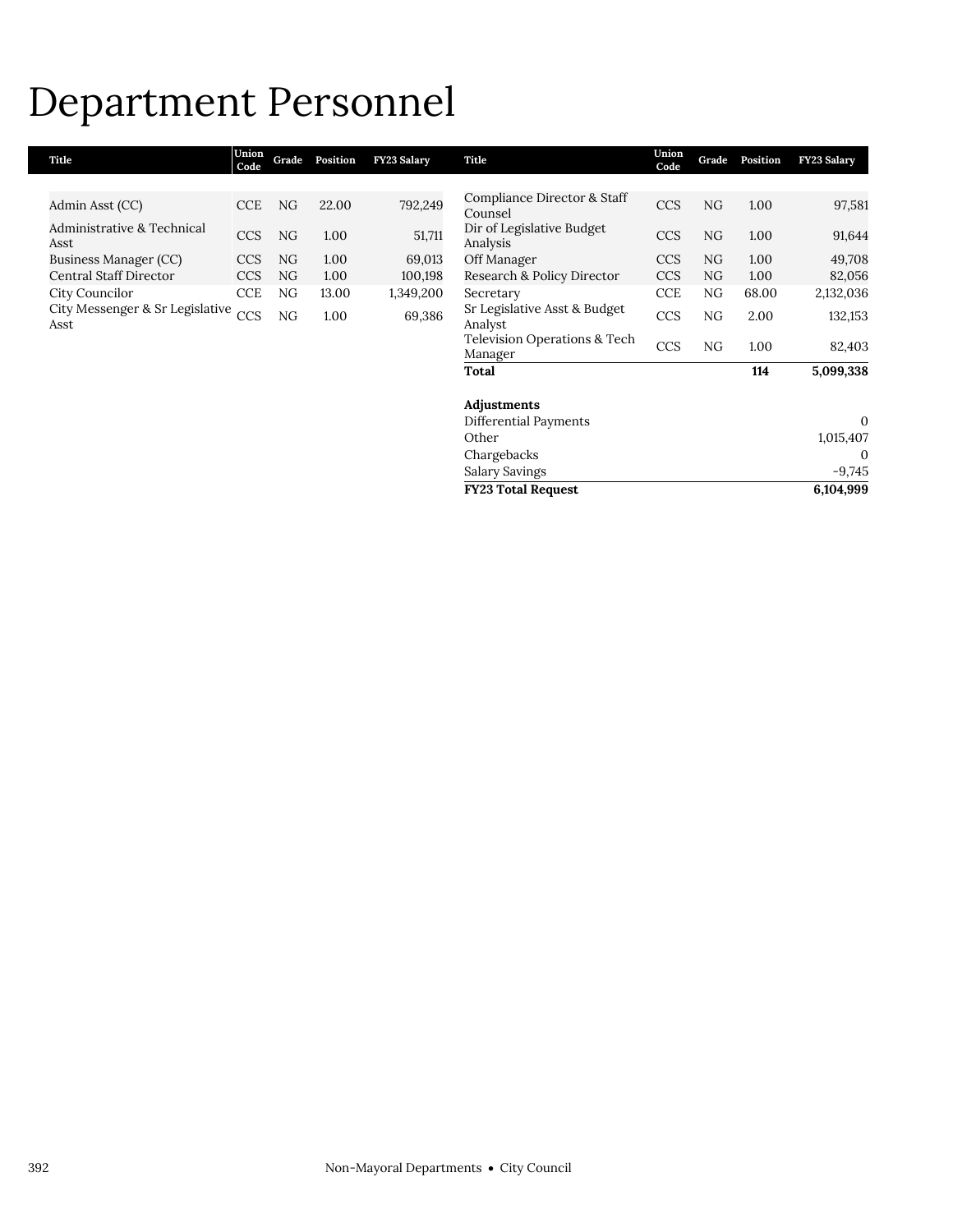### Department Personnel

| Title                                   | Union<br>Code | Grade | Position | FY23 Salary | Title                                   | Union<br>Code | Grade | Position | <b>FY23 Salary</b> |
|-----------------------------------------|---------------|-------|----------|-------------|-----------------------------------------|---------------|-------|----------|--------------------|
|                                         |               |       |          |             |                                         |               |       |          |                    |
| Admin Asst (CC)                         | <b>CCE</b>    | NG    | 22.00    | 792,249     | Compliance Director & Staff<br>Counsel  | <b>CCS</b>    | NG    | 1.00     | 97,581             |
| Administrative & Technical<br>Asst      | <b>CCS</b>    | NG    | 1.00     | 51,711      | Dir of Legislative Budget<br>Analysis   | <b>CCS</b>    | NG    | 1.00     | 91,644             |
| Business Manager (CC)                   | <b>CCS</b>    | NG    | 1.00     | 69,013      | Off Manager                             | <b>CCS</b>    | NG    | 1.00     | 49,708             |
| <b>Central Staff Director</b>           | <b>CCS</b>    | NG    | 1.00     | 100,198     | Research & Policy Director              | <b>CCS</b>    | NG.   | 1.00     | 82,056             |
| City Councilor                          | <b>CCE</b>    | NG    | 13.00    | 1,349,200   | Secretary                               | <b>CCE</b>    | NG    | 68.00    | 2,132,036          |
| City Messenger & Sr Legislative<br>Asst | CCS           | NG    | 1.00     | 69,386      | Sr Legislative Asst & Budget<br>Analyst | <b>CCS</b>    | NG    | 2.00     | 132,153            |
|                                         |               |       |          |             | Television Operations & Tech<br>Manager | <b>CCS</b>    | NG    | 1.00     | 82,403             |
|                                         |               |       |          |             | Total                                   |               |       | 114      | 5,099,338          |
|                                         |               |       |          |             | Adjustments                             |               |       |          |                    |
|                                         |               |       |          |             | Differential Payments                   |               |       |          | $\mathbf{0}$       |
|                                         |               |       |          |             | Other                                   |               |       |          | 1,015,407          |
|                                         |               |       |          |             | Chargebacks                             |               |       |          | 0                  |
|                                         |               |       |          |             | Salary Savings                          |               |       |          | $-9,745$           |

**FY23 Total Request 6,104,999**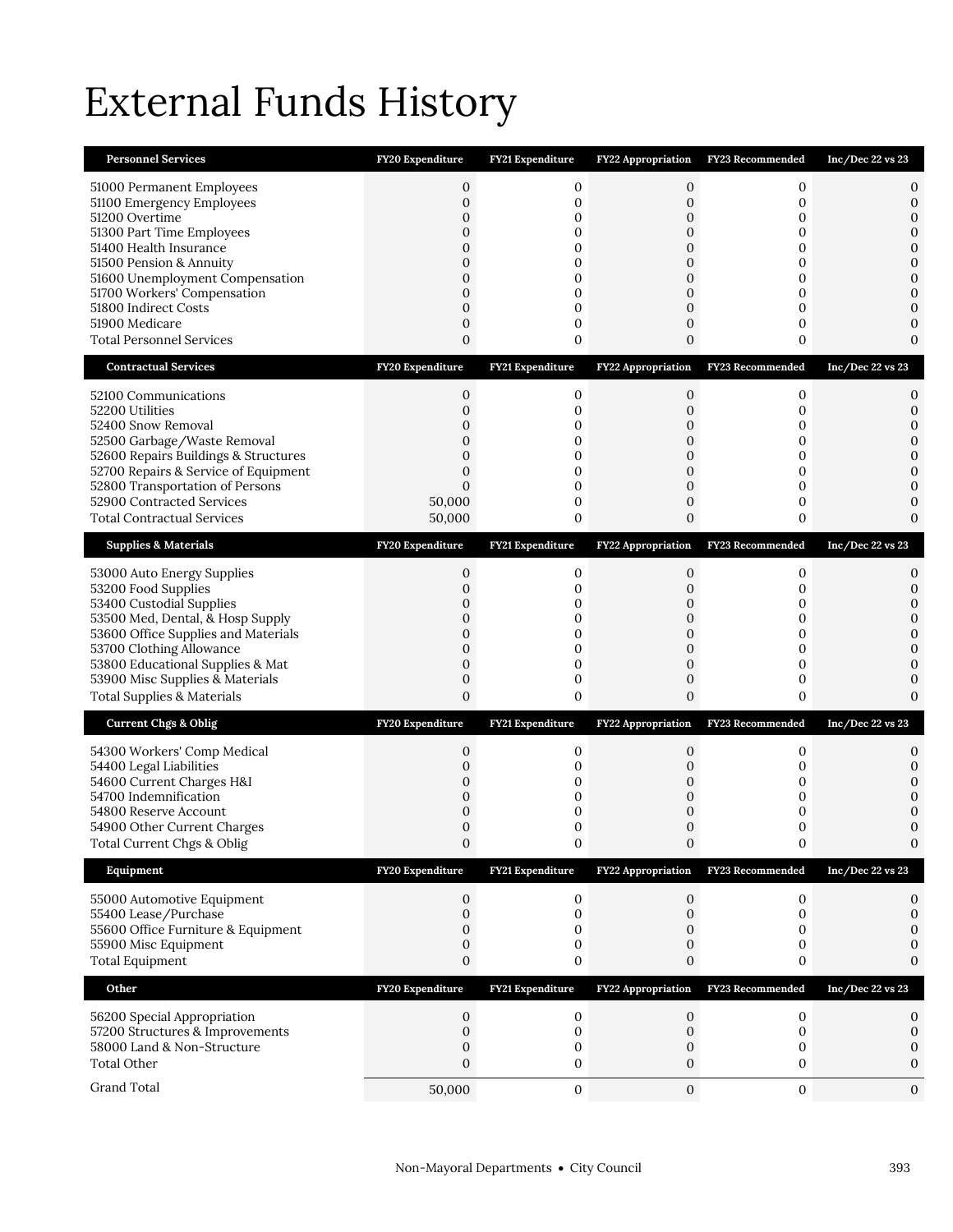# External Funds History

| <b>Personnel Services</b>                                                                                                                                                                                                                                                                                 | FY20 Expenditure                                                                                                                 | <b>FY21 Expenditure</b>                                                 | FY22 Appropriation                                                                                   | <b>FY23 Recommended</b>                             | Inc/Dec 22 vs 23                                                                                       |
|-----------------------------------------------------------------------------------------------------------------------------------------------------------------------------------------------------------------------------------------------------------------------------------------------------------|----------------------------------------------------------------------------------------------------------------------------------|-------------------------------------------------------------------------|------------------------------------------------------------------------------------------------------|-----------------------------------------------------|--------------------------------------------------------------------------------------------------------|
| 51000 Permanent Employees<br>51100 Emergency Employees<br>51200 Overtime<br>51300 Part Time Employees<br>51400 Health Insurance<br>51500 Pension & Annuity<br>51600 Unemployment Compensation<br>51700 Workers' Compensation<br>51800 Indirect Costs<br>51900 Medicare<br><b>Total Personnel Services</b> | $\mathbf{0}$<br>$\mathbf 0$<br>$\mathbf 0$<br>$\mathbf{0}$<br>0<br>$\mathbf{0}$<br>$\overline{0}$<br>0<br>$\mathbf{0}$<br>0<br>0 | 0<br>$\mathbf 0$<br>0<br>0<br>0<br>0<br>$\mathbf 0$<br>0<br>0<br>0<br>0 | 0<br>0<br>$\mathbf 0$<br>0<br>0<br>0<br>$\mathbf{0}$<br>0<br>$\mathbf{0}$<br>0<br>$\mathbf{0}$       | 0<br>0<br>0<br>0<br>0<br>0<br>0<br>0<br>0<br>0<br>0 | 0<br>0<br>$\mathbf{0}$<br>$\mathbf{0}$<br>0<br>0<br>$\mathbf{0}$<br>$\mathbf{0}$<br>0<br>0<br>$\Omega$ |
| <b>Contractual Services</b>                                                                                                                                                                                                                                                                               | FY20 Expenditure                                                                                                                 | FY21 Expenditure                                                        | FY22 Appropriation                                                                                   | <b>FY23 Recommended</b>                             | Inc/Dec 22 vs 23                                                                                       |
| 52100 Communications<br>52200 Utilities<br>52400 Snow Removal<br>52500 Garbage/Waste Removal<br>52600 Repairs Buildings & Structures<br>52700 Repairs & Service of Equipment<br>52800 Transportation of Persons<br>52900 Contracted Services<br><b>Total Contractual Services</b>                         | 0<br>$\mathbf 0$<br>0<br>$\mathbf{0}$<br>$\overline{0}$<br>$\mathbf{0}$<br>$\mathbf{0}$<br>50,000<br>50,000                      | 0<br>$\mathbf 0$<br>0<br>0<br>0<br>0<br>$\mathbf 0$<br>0<br>0           | 0<br>$\mathbf 0$<br>0<br>$\mathbf{0}$<br>0<br>0<br>$\mathbf{0}$<br>0<br>$\mathbf{0}$                 | 0<br>0<br>0<br>0<br>0<br>0<br>0<br>0<br>0           | 0<br>0<br>$\mathbf{0}$<br>$\mathbf{0}$<br>$\mathbf{0}$<br>$\mathbf{0}$<br>0<br>0<br>0                  |
| <b>Supplies &amp; Materials</b>                                                                                                                                                                                                                                                                           | FY20 Expenditure                                                                                                                 | FY21 Expenditure                                                        | FY22 Appropriation                                                                                   | FY23 Recommended                                    | Inc/Dec 22 vs 23                                                                                       |
| 53000 Auto Energy Supplies<br>53200 Food Supplies<br>53400 Custodial Supplies<br>53500 Med, Dental, & Hosp Supply<br>53600 Office Supplies and Materials<br>53700 Clothing Allowance<br>53800 Educational Supplies & Mat<br>53900 Misc Supplies & Materials<br><b>Total Supplies &amp; Materials</b>      | 0<br>$\overline{0}$<br>0<br>$\overline{0}$<br>$\mathbf{0}$<br>$\mathbf{0}$<br>0<br>$\mathbf{0}$<br>$\overline{0}$                | 0<br>$\mathbf 0$<br>0<br>$\mathbf 0$<br>0<br>0<br>0<br>$\mathbf 0$<br>0 | 0<br>$\overline{0}$<br>0<br>$\mathbf{0}$<br>$\mathbf{0}$<br>0<br>0<br>$\mathbf{0}$<br>$\overline{0}$ | 0<br>0<br>0<br>0<br>0<br>0<br>0<br>0<br>0           | 0<br>0<br>0<br>$\mathbf{0}$<br>$\mathbf{0}$<br>$\mathbf{0}$<br>0<br>$\mathbf{0}$<br>$\Omega$           |
| <b>Current Chgs &amp; Oblig</b>                                                                                                                                                                                                                                                                           | FY20 Expenditure                                                                                                                 | FY21 Expenditure                                                        |                                                                                                      | FY22 Appropriation FY23 Recommended                 | $Inc/Dec$ 22 vs 23                                                                                     |
| 54300 Workers' Comp Medical<br>54400 Legal Liabilities<br>54600 Current Charges H&I<br>54700 Indemnification<br>54800 Reserve Account<br>54900 Other Current Charges<br>Total Current Chgs & Oblig                                                                                                        | 0<br>0<br>0<br>0<br>$\mathbf{0}$<br>0<br>$\boldsymbol{0}$                                                                        | 0<br>0<br>0<br>0<br>0<br>0<br>0                                         | 0<br>0<br>0<br>0<br>$\mathbf{0}$<br>0                                                                | 0<br>0<br>0<br>0<br>0<br>0                          | 0<br>0<br>0<br>0<br>0<br>$\mathbf{0}$                                                                  |
| Equipment                                                                                                                                                                                                                                                                                                 | <b>FY20 Expenditure</b>                                                                                                          | FY21 Expenditure                                                        | <b>FY22 Appropriation</b>                                                                            | FY23 Recommended                                    | Inc/Dec 22 vs 23                                                                                       |
| 55000 Automotive Equipment<br>55400 Lease/Purchase<br>55600 Office Furniture & Equipment<br>55900 Misc Equipment<br><b>Total Equipment</b>                                                                                                                                                                | 0<br>$\mathbf 0$<br>$\mathbf 0$<br>0<br>0                                                                                        | $\mathbf 0$<br>0<br>0<br>0<br>0                                         | 0<br>0<br>0<br>0<br>0                                                                                | 0<br>$\mathbf{0}$<br>0<br>0<br>0                    | 0<br>$\mathbf{0}$<br>0<br>0<br>0                                                                       |
| Other                                                                                                                                                                                                                                                                                                     | FY20 Expenditure                                                                                                                 | FY21 Expenditure                                                        | FY22 Appropriation                                                                                   | FY23 Recommended                                    | Inc/Dec 22 vs 23                                                                                       |
| 56200 Special Appropriation<br>57200 Structures & Improvements<br>58000 Land & Non-Structure<br><b>Total Other</b>                                                                                                                                                                                        | 0<br>$\boldsymbol{0}$<br>0<br>$\mathbf{0}$                                                                                       | 0<br>$\boldsymbol{0}$<br>$\mathbf 0$<br>0                               | 0<br>$\boldsymbol{0}$<br>0<br>0                                                                      | $\mathbf 0$<br>0<br>0<br>0                          | 0<br>$\mathbf{0}$<br>0<br>0                                                                            |
| Grand Total                                                                                                                                                                                                                                                                                               | 50,000                                                                                                                           | $\mathbf 0$                                                             | $\boldsymbol{0}$                                                                                     | 0                                                   | $\mathbf{0}$                                                                                           |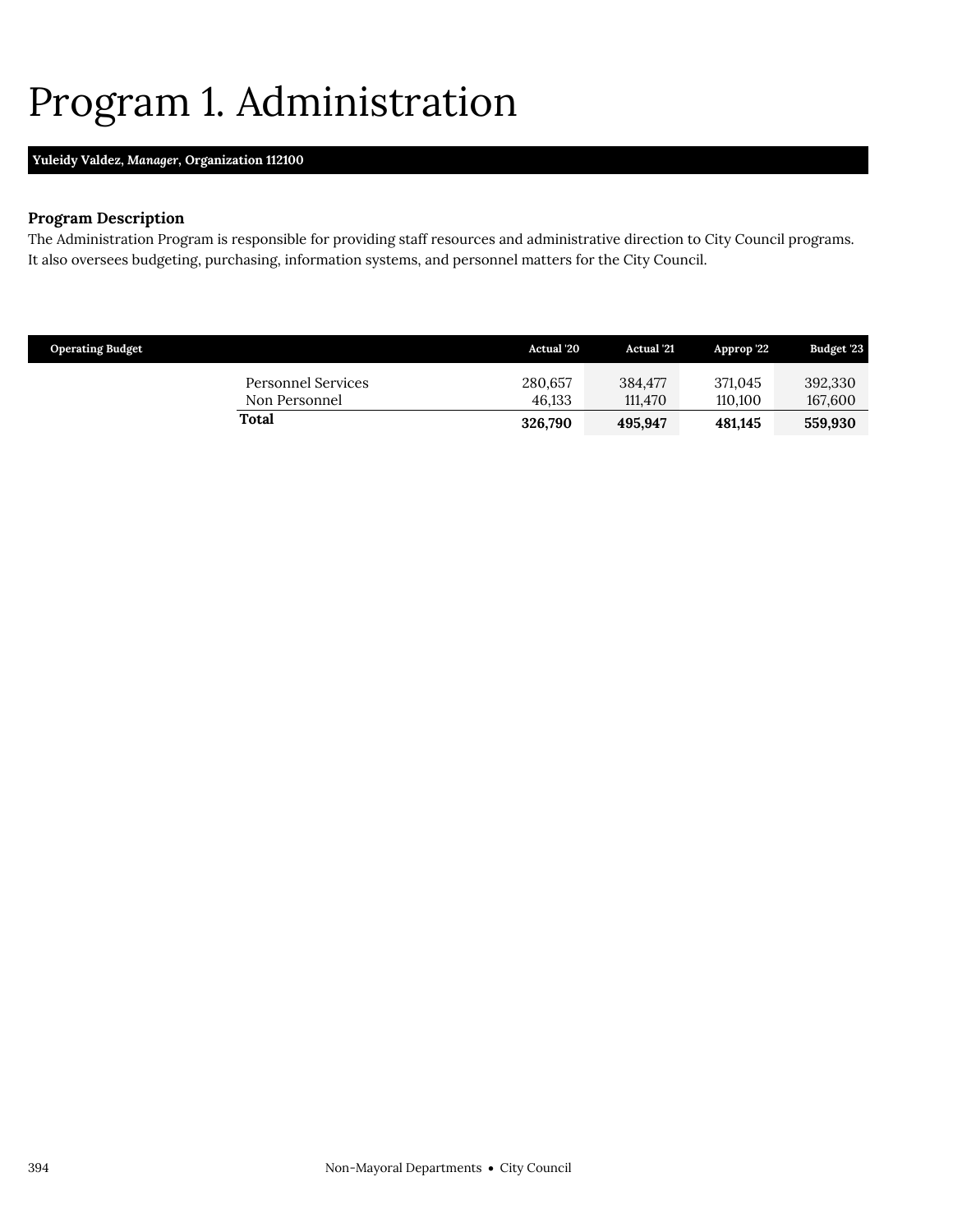### <span id="page-17-0"></span>Program 1. Administration

### **Yuleidy Valdez,** *Manager,* **Organization 112100**

### **Program Description**

The Administration Program is responsible for providing staff resources and administrative direction to City Council programs. It also oversees budgeting, purchasing, information systems, and personnel matters for the City Council.

| <b>Operating Budget</b> |                                     | <b>Actual</b> '20 | <b>Actual</b> '21  | Approp 22          | Budget '23         |
|-------------------------|-------------------------------------|-------------------|--------------------|--------------------|--------------------|
|                         | Personnel Services<br>Non Personnel | 280.657<br>46.133 | 384.477<br>111.470 | 371,045<br>110.100 | 392,330<br>167,600 |
|                         | Total                               | 326,790           | 495.947            | 481.145            | 559,930            |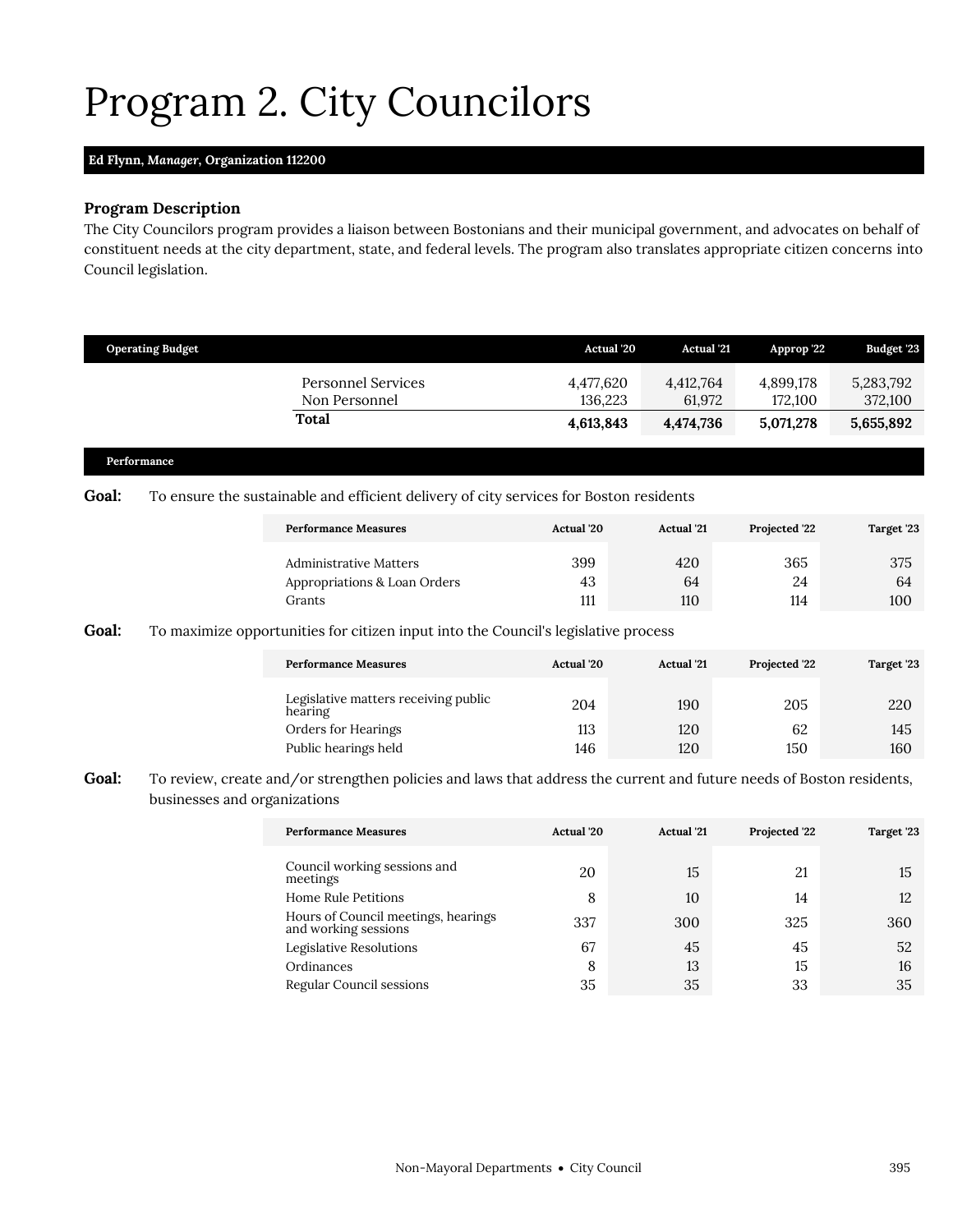# <span id="page-18-0"></span>Program 2. City Councilors

### **Ed Flynn,** *Manager,* **Organization 112200**

### **Program Description**

The City Councilors program provides a liaison between Bostonians and their municipal government, and advocates on behalf of constituent needs at the city department, state, and federal levels. The program also translates appropriate citizen concerns into Council legislation.

| <b>Operating Budget</b> |             | <b>Actual</b> '20                                                                                                                                             | <b>Actual '21</b>   | Approp '22                                                                             | Budget '23           |
|-------------------------|-------------|---------------------------------------------------------------------------------------------------------------------------------------------------------------|---------------------|----------------------------------------------------------------------------------------|----------------------|
|                         |             | 4,477,620<br>136,223                                                                                                                                          | 4,412,764<br>61,972 | 4,899,178<br>172,100                                                                   | 5,283,792<br>372,100 |
|                         |             | 4,613,843                                                                                                                                                     | 4,474,736           | 5,071,278                                                                              | 5,655,892            |
|                         |             |                                                                                                                                                               |                     |                                                                                        |                      |
|                         |             | <b>Actual</b> '20                                                                                                                                             | <b>Actual</b> '21   | Projected '22                                                                          | Target '23           |
|                         |             | 399<br>43<br>111                                                                                                                                              | 420<br>64<br>110    | 365<br>24<br>114                                                                       | 375<br>64<br>100     |
|                         | Performance | <b>Personnel Services</b><br>Non Personnel<br>Total<br><b>Performance Measures</b><br><b>Administrative Matters</b><br>Appropriations & Loan Orders<br>Grants |                     | To ensure the sustainable and efficient delivery of city services for Boston residents |                      |

#### **Goal:** To maximize opportunities for citizen input into the Council's legislative process

| <b>Performance Measures</b>                     | <b>Actual</b> '20 | <b>Actual</b> '21 | Projected '22 | Target '23 |  |
|-------------------------------------------------|-------------------|-------------------|---------------|------------|--|
| Legislative matters receiving public<br>hearing | 204               | 190               | 205           | 220        |  |
| Orders for Hearings                             | 113               | 120               | 62            | 145        |  |
| Public hearings held                            | 146               | 120               | 150           | 160        |  |

### Goal: To review, create and/or strengthen policies and laws that address the current and future needs of Boston residents, businesses and organizations

| <b>Performance Measures</b>                                 | Actual '20<br><b>Actual</b> '21 |     | Projected '22 | Target '23 |
|-------------------------------------------------------------|---------------------------------|-----|---------------|------------|
| Council working sessions and<br>meetings                    | 20                              | 15  | 21            | 15         |
| <b>Home Rule Petitions</b>                                  | 8                               | 10  | 14            | 12         |
| Hours of Council meetings, hearings<br>and working sessions | 337                             | 300 | 325           | 360        |
| Legislative Resolutions                                     | 67                              | 45  | 45            | 52         |
| Ordinances                                                  | 8                               | 13  | 15            | 16         |
| Regular Council sessions                                    | 35                              | 35  | 33            | 35         |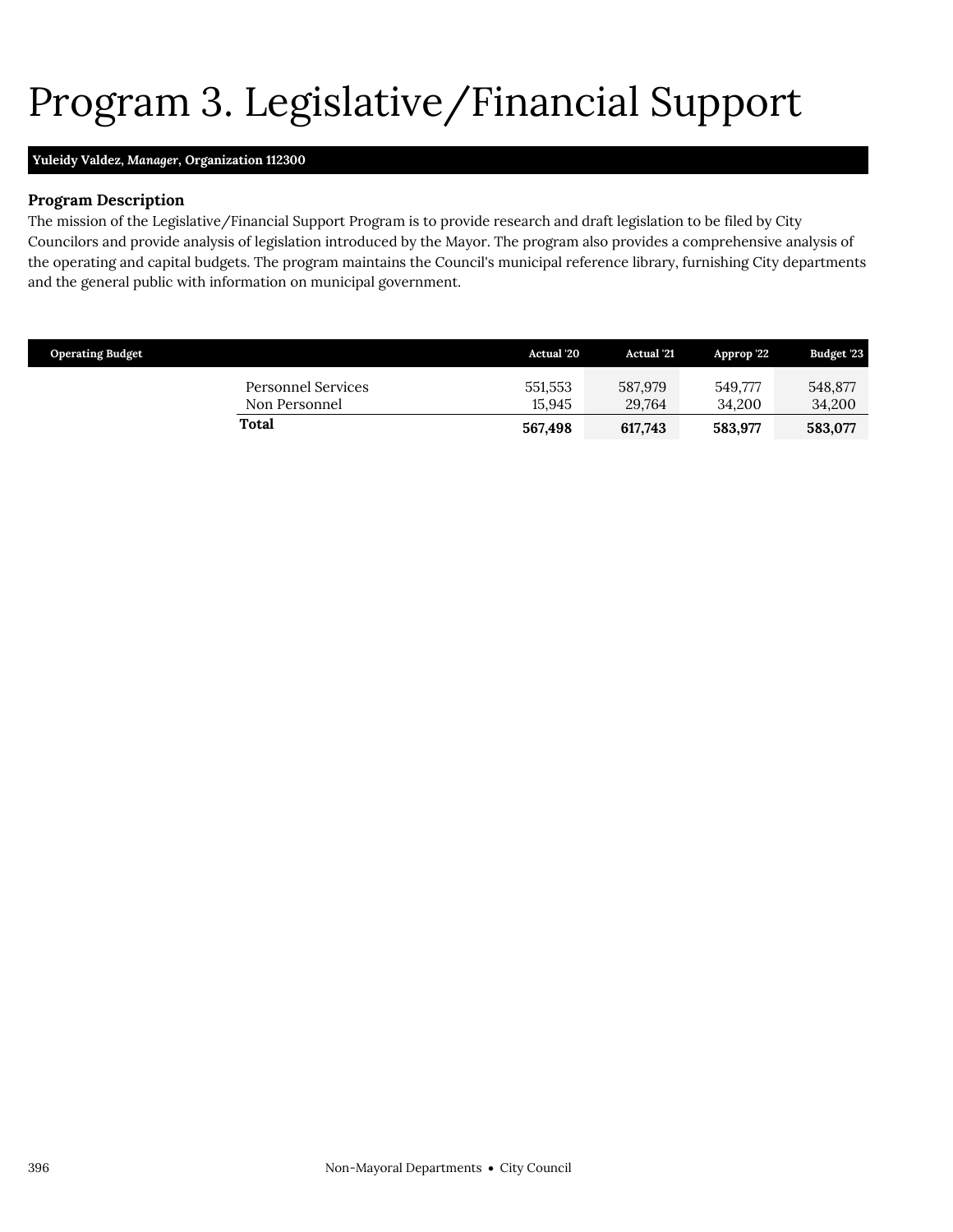# <span id="page-19-0"></span>Program 3. Legislative/Financial Support

### **Yuleidy Valdez,** *Manager,* **Organization 112300**

### **Program Description**

The mission of the Legislative/Financial Support Program is to provide research and draft legislation to be filed by City Councilors and provide analysis of legislation introduced by the Mayor. The program also provides a comprehensive analysis of the operating and capital budgets. The program maintains the Council's municipal reference library, furnishing City departments and the general public with information on municipal government.

| <b>Operating Budget</b>             | <b>Actual</b> '20 | <b>Actual</b> '21 | Approp '22        | <b>Budget '23</b> |
|-------------------------------------|-------------------|-------------------|-------------------|-------------------|
| Personnel Services<br>Non Personnel | 551,553<br>15.945 | 587,979<br>29.764 | 549.777<br>34.200 | 548.877<br>34,200 |
| Total                               | 567,498           | 617.743           | 583.977           | 583,077           |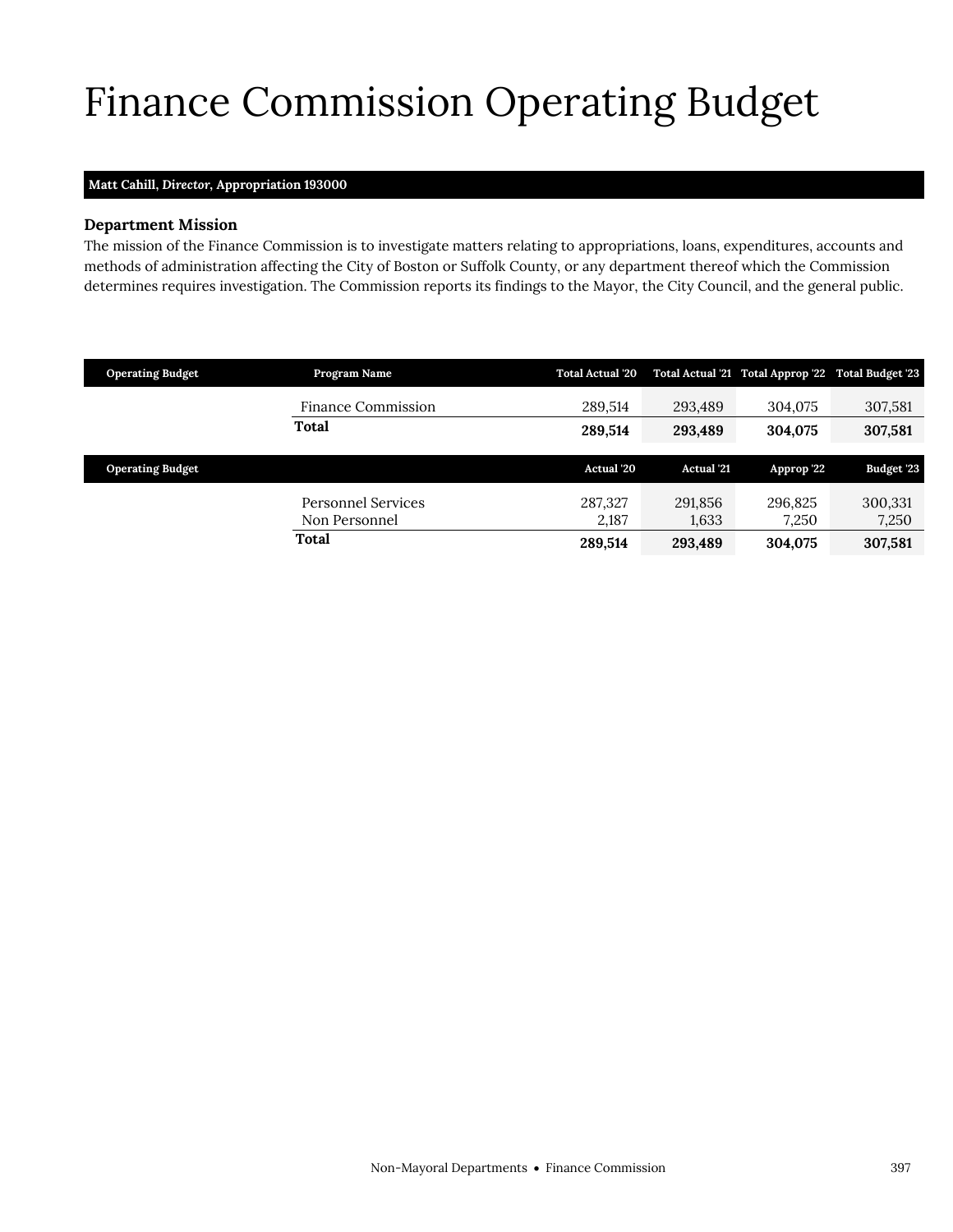# <span id="page-20-0"></span>Finance Commission Operating Budget

### **Matt Cahill,** *Director,* **Appropriation 193000**

### **Department Mission**

Finance Commission

The mission of the Finance Commission is to investigate matters relating to appropriations, loans, expenditures, accounts and methods of administration affecting the City of Boston or Suffolk County, or any department thereof which the Commission determines requires investigation. The Commission reports its findings to the Mayor, the City Council, and the general public.

| <b>Operating Budget</b> | Program Name                        | <b>Total Actual '20</b> |                  | Total Actual '21 Total Approp '22 Total Budget '23 |                   |
|-------------------------|-------------------------------------|-------------------------|------------------|----------------------------------------------------|-------------------|
|                         | Finance Commission                  | 289.514                 | 293,489          | 304,075                                            | 307,581           |
|                         | Total                               | 289.514                 | 293,489          | 304,075                                            | 307,581           |
|                         |                                     |                         |                  |                                                    |                   |
| <b>Operating Budget</b> |                                     | <b>Actual '20</b>       | Actual '21       | Approp '22                                         | <b>Budget '23</b> |
|                         |                                     |                         |                  |                                                    |                   |
|                         | Personnel Services<br>Non Personnel | 287.327<br>2,187        | 291,856<br>1,633 | 296.825<br>7,250                                   | 300,331<br>7,250  |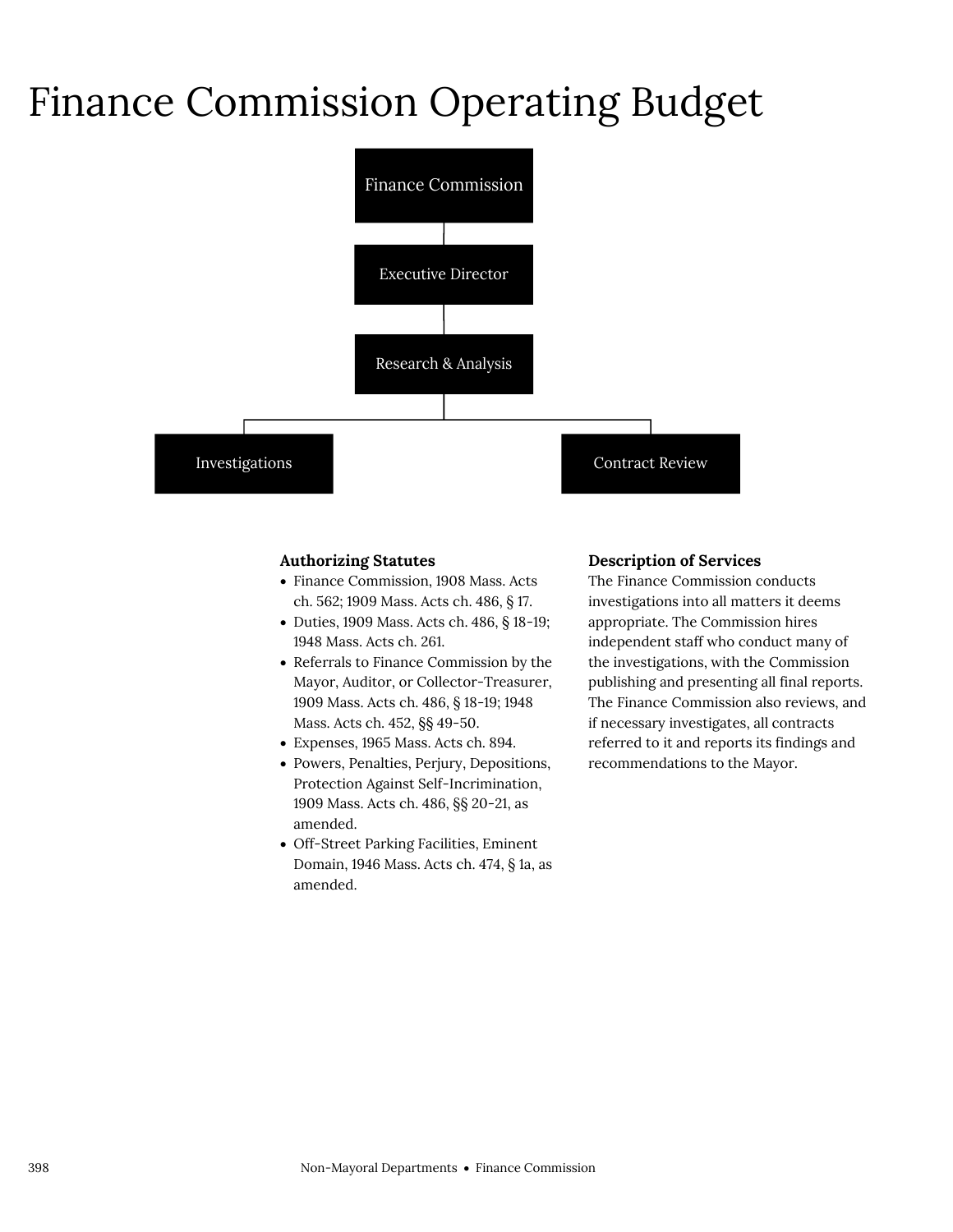### Finance Commission Operating Budget



### **Authorizing Statutes**

- Finance Commission, 1908 Mass. Acts ch. 562; 1909 Mass. Acts ch. 486, § 17.
- Duties, 1909 Mass. Acts ch. 486, § 18-19; 1948 Mass. Acts ch. 261.
- Referrals to Finance Commission by the Mayor, Auditor, or Collector-Treasurer, 1909 Mass. Acts ch. 486, § 18-19; 1948 Mass. Acts ch. 452, §§ 49-50.
- Expenses, 1965 Mass. Acts ch. 894.
- Powers, Penalties, Perjury, Depositions, Protection Against Self-Incrimination, 1909 Mass. Acts ch. 486, §§ 20-21, as amended.
- Off-Street Parking Facilities, Eminent Domain, 1946 Mass. Acts ch. 474, § 1a, as amended.

#### **Description of Services**

The Finance Commission conducts investigations into all matters it deems appropriate. The Commission hires independent staff who conduct many of the investigations, with the Commission publishing and presenting all final reports. The Finance Commission also reviews, and if necessary investigates, all contracts referred to it and reports its findings and recommendations to the Mayor.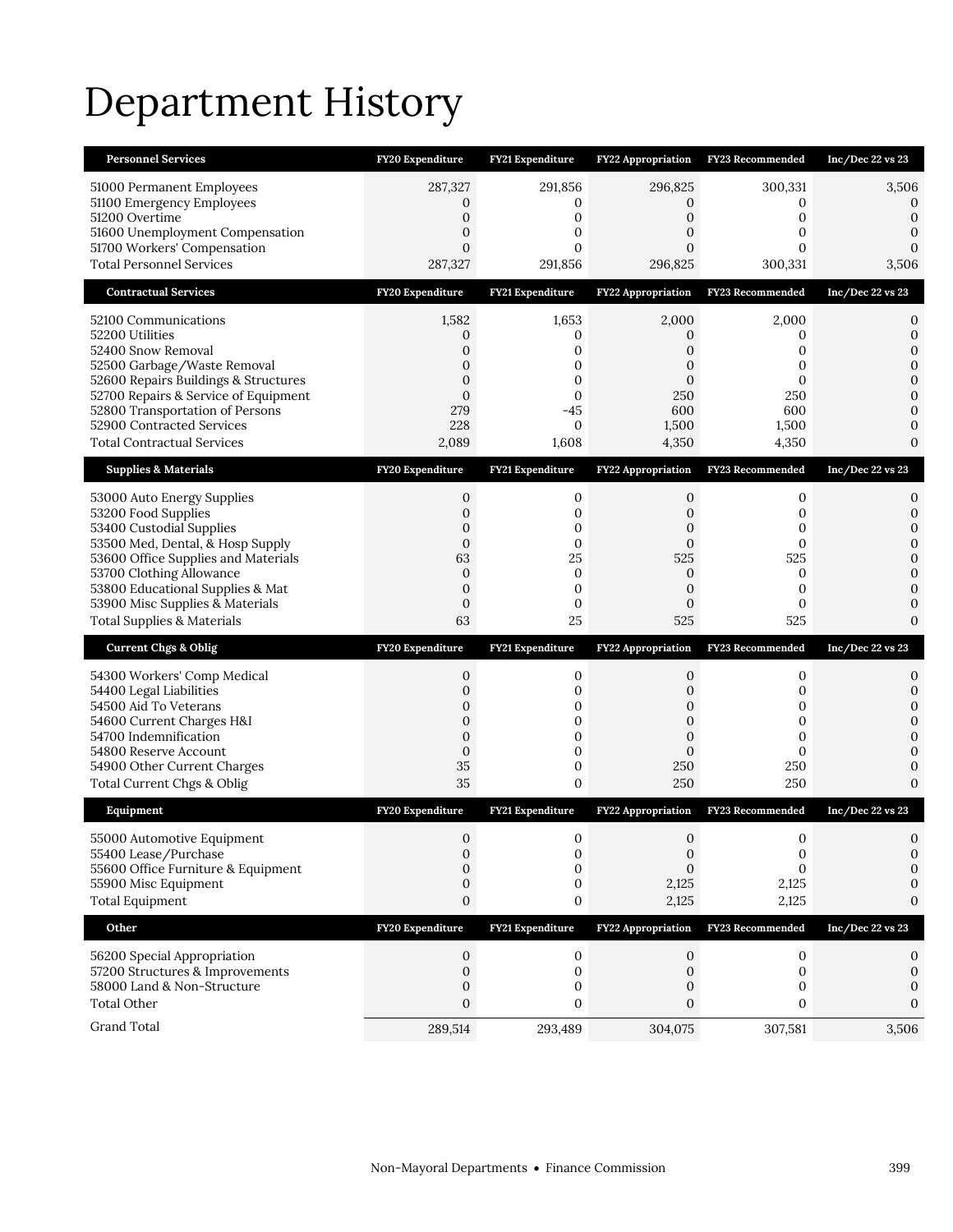# Department History

| <b>Personnel Services</b>                                                    | FY20 Expenditure             | FY21 Expenditure  | <b>FY22 Appropriation</b> | <b>FY23 Recommended</b> | Inc/Dec 22 vs 23               |
|------------------------------------------------------------------------------|------------------------------|-------------------|---------------------------|-------------------------|--------------------------------|
| 51000 Permanent Employees                                                    | 287,327                      | 291,856           | 296,825                   | 300,331                 | 3,506                          |
| 51100 Emergency Employees<br>51200 Overtime                                  | 0<br>$\mathbf 0$             | 0<br>$\mathbf 0$  | 0<br>$\mathbf 0$          | 0<br>0                  | 0<br>$\mathbf 0$               |
| 51600 Unemployment Compensation                                              | $\mathbf{0}$                 | 0                 | 0                         | 0                       | 0                              |
| 51700 Workers' Compensation                                                  | $\overline{0}$               | 0                 | $\overline{0}$            | 0                       | $\Omega$                       |
| <b>Total Personnel Services</b>                                              | 287,327                      | 291,856           | 296,825                   | 300,331                 | 3,506                          |
| <b>Contractual Services</b>                                                  | FY20 Expenditure             | FY21 Expenditure  | <b>FY22 Appropriation</b> | <b>FY23 Recommended</b> | Inc/Dec 22 vs 23               |
| 52100 Communications                                                         | 1,582                        | 1,653             | 2,000                     | 2,000                   | 0                              |
| 52200 Utilities<br>52400 Snow Removal                                        | 0<br>0                       | 0<br>0            | 0<br>0                    | 0<br>0                  | $\mathbf{0}$<br>$\mathbf{0}$   |
| 52500 Garbage/Waste Removal                                                  | 0                            | 0                 | 0                         | 0                       | $\mathbf{0}$                   |
| 52600 Repairs Buildings & Structures<br>52700 Repairs & Service of Equipment | $\mathbf{0}$<br>$\mathbf{0}$ | 0<br>$\mathbf{0}$ | $\mathbf{0}$<br>250       | 0<br>250                | $\mathbf{0}$<br>$\overline{0}$ |
| 52800 Transportation of Persons                                              | 279                          | $-45$             | 600                       | 600                     | $\mathbf{0}$                   |
| 52900 Contracted Services                                                    | 228                          | $\mathbf{0}$      | 1,500                     | 1,500                   | 0                              |
| <b>Total Contractual Services</b>                                            | 2,089                        | 1,608             | 4,350                     | 4,350                   | $\mathbf{0}$                   |
| <b>Supplies &amp; Materials</b>                                              | FY20 Expenditure             | FY21 Expenditure  | FY22 Appropriation        | FY23 Recommended        | Inc/Dec 22 vs 23               |
| 53000 Auto Energy Supplies                                                   | 0                            | 0                 | 0                         | 0                       | 0                              |
| 53200 Food Supplies<br>53400 Custodial Supplies                              | 0<br>0                       | 0<br>0            | 0<br>0                    | 0<br>0                  | $\mathbf{0}$<br>$\mathbf{0}$   |
| 53500 Med, Dental, & Hosp Supply                                             | $\mathbf{0}$                 | 0                 | $\mathbf{0}$              | $\mathbf{0}$            | $\mathbf{0}$                   |
| 53600 Office Supplies and Materials<br>53700 Clothing Allowance              | 63<br>0                      | 25<br>0           | 525<br>0                  | 525<br>0                | $\overline{0}$<br>$\mathbf{0}$ |
| 53800 Educational Supplies & Mat                                             | $\overline{0}$               | $\mathbf 0$       | $\mathbf{0}$              | $\mathbf{0}$            | 0                              |
|                                                                              |                              |                   |                           |                         |                                |
| 53900 Misc Supplies & Materials                                              | $\boldsymbol{0}$             | 0                 | $\mathbf{0}$              | $\mathbf{0}$            | 0                              |
| <b>Total Supplies &amp; Materials</b>                                        | 63                           | 25                | 525                       | 525                     | $\Omega$                       |
| <b>Current Chgs &amp; Oblig</b>                                              | FY20 Expenditure             | FY21 Expenditure  | FY22 Appropriation        | FY23 Recommended        | Inc/Dec 22 vs 23               |
| 54300 Workers' Comp Medical                                                  | 0                            | 0                 | 0                         | 0                       | 0                              |
| 54400 Legal Liabilities                                                      | $\mathbf{0}$                 | 0                 | $\mathbf{0}$              | 0                       | 0                              |
| 54500 Aid To Veterans<br>54600 Current Charges H&I                           | 0<br>$\mathbf{0}$            | 0<br>0            | 0<br>$\mathbf{0}$         | 0<br>0                  | $\mathbf{0}$<br>0              |
| 54700 Indemnification                                                        | $\overline{0}$               | 0                 | $\overline{0}$            | 0                       | $\mathbf{0}$                   |
| 54800 Reserve Account                                                        | $\boldsymbol{0}$             | 0<br>0            | $\overline{0}$<br>250     | 0<br>250                | $\mathbf{0}$<br>0              |
| 54900 Other Current Charges<br>Total Current Chgs & Oblig                    | 35<br>35                     | 0                 | 250                       | 250                     | $\Omega$                       |
| Equipment                                                                    | FY20 Expenditure             | FY21 Expenditure  | <b>FY22 Appropriation</b> | FY23 Recommended        | Inc/Dec 22 vs 23               |
| 55000 Automotive Equipment                                                   | $\mathbf{0}$                 | 0                 | $\mathbf{0}$              | 0                       | 0                              |
| 55400 Lease/Purchase                                                         | 0                            | 0                 | $\boldsymbol{0}$          | 0                       | $\mathbf{0}$                   |
| 55600 Office Furniture & Equipment                                           | $\overline{0}$               | 0                 | $\overline{0}$            | 0                       | 0<br>0                         |
| 55900 Misc Equipment<br><b>Total Equipment</b>                               | 0<br>0                       | 0<br>0            | 2,125<br>2,125            | 2,125<br>2,125          | 0                              |
| Other                                                                        | FY20 Expenditure             | FY21 Expenditure  | <b>FY22 Appropriation</b> | <b>FY23 Recommended</b> | Inc/Dec 22 vs 23               |
|                                                                              |                              |                   |                           |                         |                                |
| 56200 Special Appropriation<br>57200 Structures & Improvements               | 0<br>0                       | 0<br>0            | 0<br>0                    | 0<br>0                  | 0<br>0                         |
| 58000 Land & Non-Structure                                                   | 0                            | 0                 | 0                         | 0                       | 0                              |
| <b>Total Other</b><br>Grand Total                                            | 0<br>289,514                 | 0<br>293,489      | 0<br>304,075              | 0<br>307,581            | 0<br>3,506                     |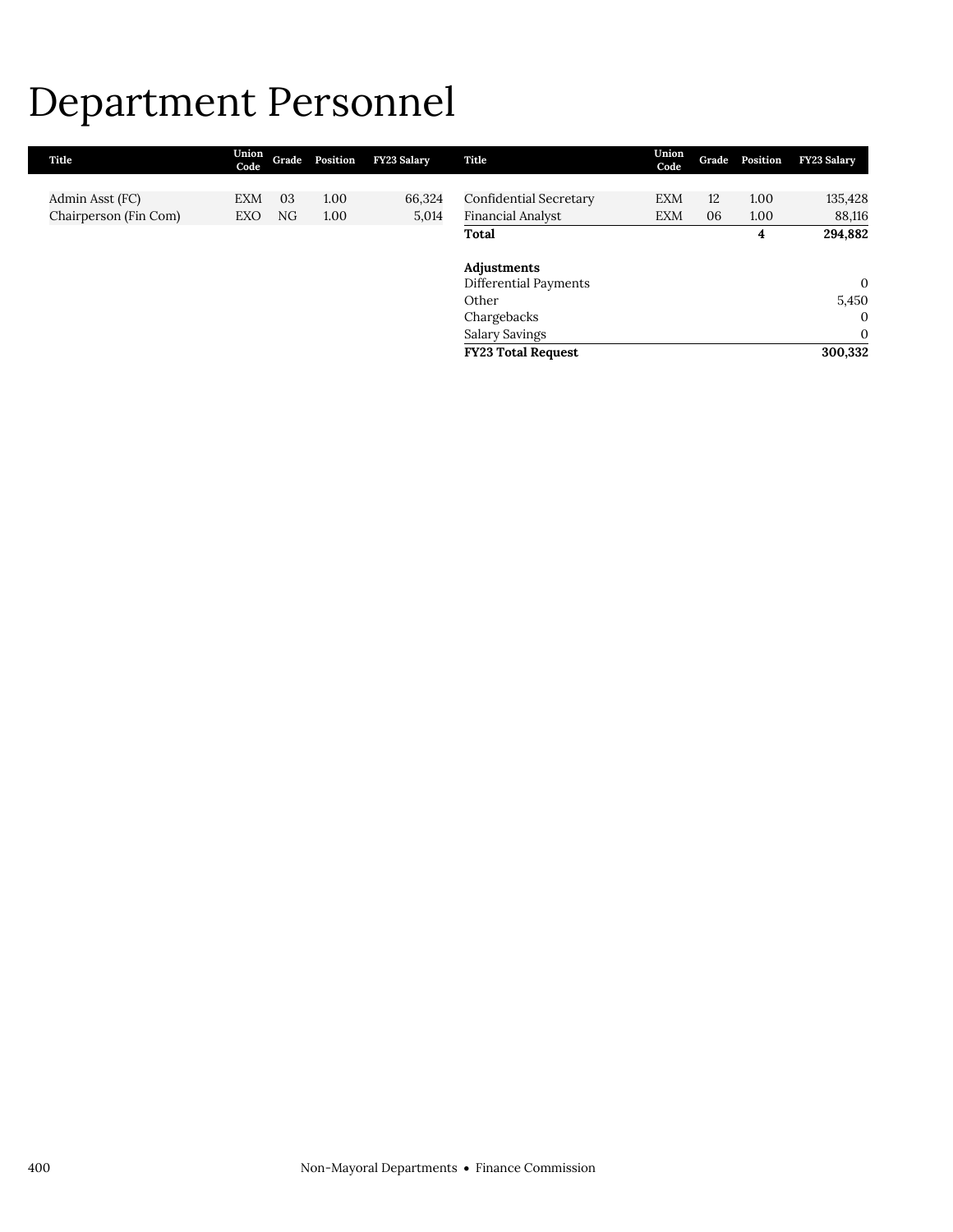### Department Personnel

| Title                 | Union<br>Code |    | Grade Position | <b>FY23 Salary</b> | Title                     | Union<br>Code | Grade | Position | FY23 Salary    |
|-----------------------|---------------|----|----------------|--------------------|---------------------------|---------------|-------|----------|----------------|
|                       |               |    |                |                    |                           |               |       |          |                |
| Admin Asst (FC)       | <b>EXM</b>    | 03 | 1.00           | 66,324             | Confidential Secretary    | <b>EXM</b>    | 12    | 1.00     | 135,428        |
| Chairperson (Fin Com) | EXO           | NG | 1.00           | 5,014              | Financial Analyst         | <b>EXM</b>    | 06    | 1.00     | 88,116         |
|                       |               |    |                |                    | Total                     |               |       | 4        | 294,882        |
|                       |               |    |                |                    |                           |               |       |          |                |
|                       |               |    |                |                    | Adjustments               |               |       |          |                |
|                       |               |    |                |                    | Differential Payments     |               |       |          | $\mathbf{0}$   |
|                       |               |    |                |                    | Other                     |               |       |          | 5,450          |
|                       |               |    |                |                    | Chargebacks               |               |       |          | $\overline{0}$ |
|                       |               |    |                |                    | <b>Salary Savings</b>     |               |       |          | $\mathbf{0}$   |
|                       |               |    |                |                    | <b>FY23 Total Request</b> |               |       |          | 300,332        |